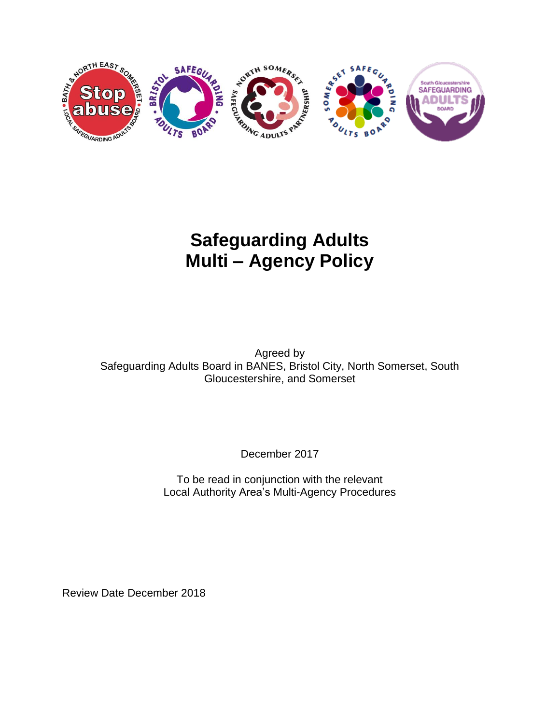

# **Safeguarding Adults Multi – Agency Policy**

Agreed by Safeguarding Adults Board in BANES, Bristol City, North Somerset, South Gloucestershire, and Somerset

December 2017

To be read in conjunction with the relevant Local Authority Area's Multi-Agency Procedures

Review Date December 2018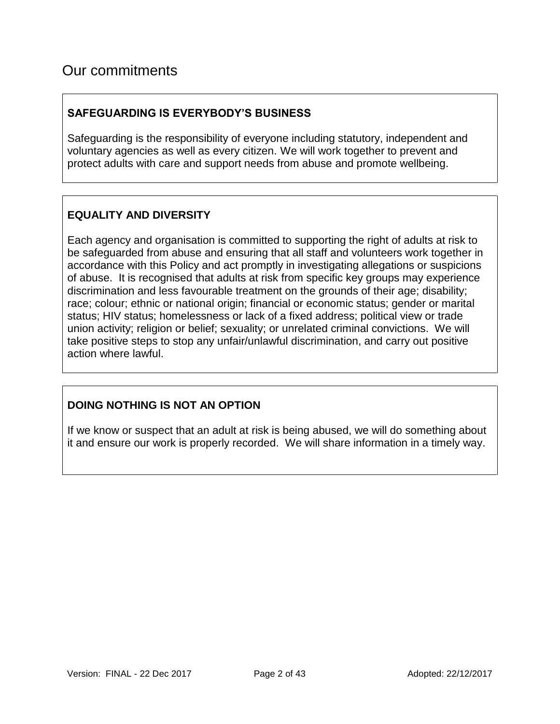# Our commitments

#### **SAFEGUARDING IS EVERYBODY'S BUSINESS**

Safeguarding is the responsibility of everyone including statutory, independent and voluntary agencies as well as every citizen. We will work together to prevent and protect adults with care and support needs from abuse and promote wellbeing.

#### **EQUALITY AND DIVERSITY**

Each agency and organisation is committed to supporting the right of adults at risk to be safeguarded from abuse and ensuring that all staff and volunteers work together in accordance with this Policy and act promptly in investigating allegations or suspicions of abuse. It is recognised that adults at risk from specific key groups may experience discrimination and less favourable treatment on the grounds of their age; disability; race; colour; ethnic or national origin; financial or economic status; gender or marital status; HIV status; homelessness or lack of a fixed address; political view or trade union activity; religion or belief; sexuality; or unrelated criminal convictions. We will take positive steps to stop any unfair/unlawful discrimination, and carry out positive action where lawful.

### **DOING NOTHING IS NOT AN OPTION**

If we know or suspect that an adult at risk is being abused, we will do something about it and ensure our work is properly recorded. We will share information in a timely way.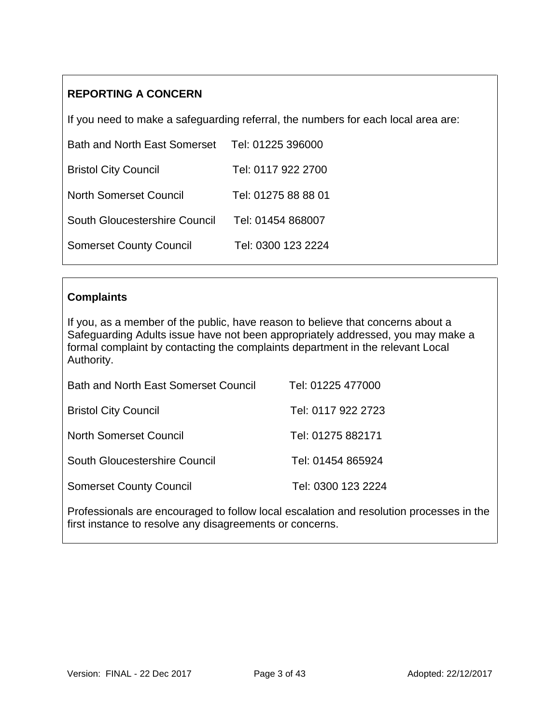### **REPORTING A CONCERN**

If you need to make a safeguarding referral, the numbers for each local area are:

| <b>Bath and North East Somerset</b> | Tel: 01225 396000   |
|-------------------------------------|---------------------|
| <b>Bristol City Council</b>         | Tel: 0117 922 2700  |
| <b>North Somerset Council</b>       | Tel: 01275 88 88 01 |
| South Gloucestershire Council       | Tel: 01454 868007   |
| <b>Somerset County Council</b>      | Tel: 0300 123 2224  |

#### **Complaints**

If you, as a member of the public, have reason to believe that concerns about a Safeguarding Adults issue have not been appropriately addressed, you may make a formal complaint by contacting the complaints department in the relevant Local Authority.

| <b>Bath and North East Somerset Council</b> | Tel: 01225 477000  |
|---------------------------------------------|--------------------|
| <b>Bristol City Council</b>                 | Tel: 0117 922 2723 |
| North Somerset Council                      | Tel: 01275 882171  |
| South Gloucestershire Council               | Tel: 01454 865924  |
| <b>Somerset County Council</b>              | Tel: 0300 123 2224 |

Professionals are encouraged to follow local escalation and resolution processes in the first instance to resolve any disagreements or concerns.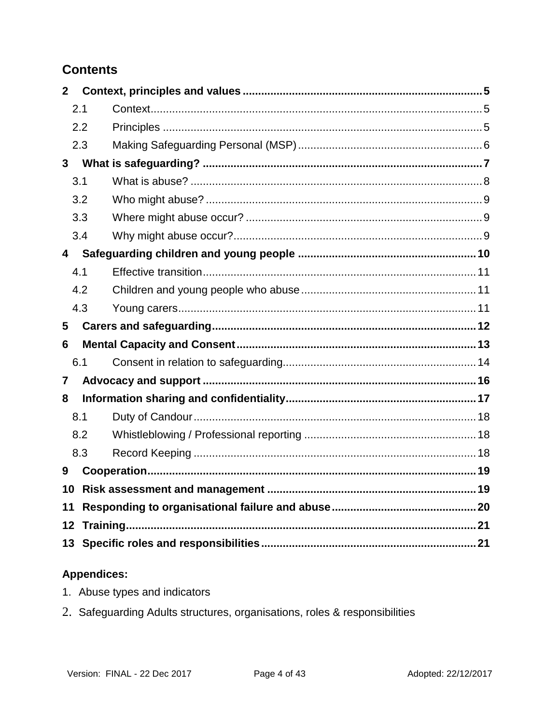## **Contents**

| $\overline{2}$ |     |  |
|----------------|-----|--|
|                | 2.1 |  |
|                | 2.2 |  |
|                | 2.3 |  |
| $\mathbf{3}$   |     |  |
|                | 3.1 |  |
|                | 3.2 |  |
|                | 3.3 |  |
|                | 3.4 |  |
| $\overline{4}$ |     |  |
|                | 4.1 |  |
|                | 4.2 |  |
|                | 4.3 |  |
|                |     |  |
| 5              |     |  |
| 6              |     |  |
|                | 6.1 |  |
| $\overline{7}$ |     |  |
| 8              |     |  |
|                | 8.1 |  |
|                | 8.2 |  |
|                | 8.3 |  |
| 9              |     |  |
| 10             |     |  |
| 11             |     |  |
| 12             |     |  |

### **Appendices:**

- 1. Abuse types and indicators
- 2. Safeguarding Adults structures, organisations, roles & responsibilities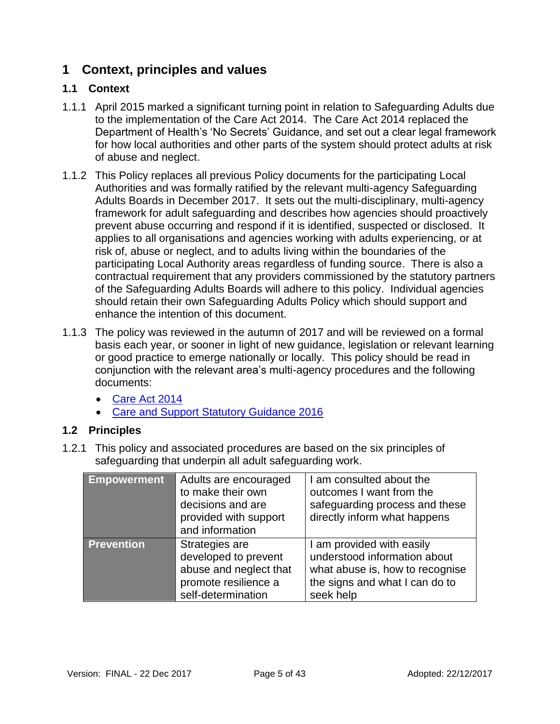### <span id="page-4-0"></span>**1 Context, principles and values**

#### <span id="page-4-1"></span>**1.1 Context**

- 1.1.1 April 2015 marked a significant turning point in relation to Safeguarding Adults due to the implementation of the Care Act 2014. The Care Act 2014 replaced the Department of Health's 'No Secrets' Guidance, and set out a clear legal framework for how local authorities and other parts of the system should protect adults at risk of abuse and neglect.
- 1.1.2 This Policy replaces all previous Policy documents for the participating Local Authorities and was formally ratified by the relevant multi-agency Safeguarding Adults Boards in December 2017. It sets out the multi-disciplinary, multi-agency framework for adult safeguarding and describes how agencies should proactively prevent abuse occurring and respond if it is identified, suspected or disclosed. It applies to all organisations and agencies working with adults experiencing, or at risk of, abuse or neglect, and to adults living within the boundaries of the participating Local Authority areas regardless of funding source. There is also a contractual requirement that any providers commissioned by the statutory partners of the Safeguarding Adults Boards will adhere to this policy. Individual agencies should retain their own Safeguarding Adults Policy which should support and enhance the intention of this document.
- 1.1.3 The policy was reviewed in the autumn of 2017 and will be reviewed on a formal basis each year, or sooner in light of new guidance, legislation or relevant learning or good practice to emerge nationally or locally. This policy should be read in conjunction with the relevant area's multi-agency procedures and the following documents:
	- [Care Act 2014](http://www.legislation.gov.uk/ukpga/2014/23/contents/enacted)
	- [Care and Support Statutory Guidance 2016](https://www.gov.uk/government/publications/care-act-statutory-guidance/care-and-support-statutory-guidance)

### <span id="page-4-2"></span>**1.2 Principles**

1.2.1 This policy and associated procedures are based on the six principles of safeguarding that underpin all adult safeguarding work.

| <b>Empowerment</b> | Adults are encouraged<br>to make their own<br>decisions and are<br>provided with support<br>and information    | I am consulted about the<br>outcomes I want from the<br>safeguarding process and these<br>directly inform what happens                      |
|--------------------|----------------------------------------------------------------------------------------------------------------|---------------------------------------------------------------------------------------------------------------------------------------------|
| <b>Prevention</b>  | Strategies are<br>developed to prevent<br>abuse and neglect that<br>promote resilience a<br>self-determination | I am provided with easily<br>understood information about<br>what abuse is, how to recognise<br>the signs and what I can do to<br>seek help |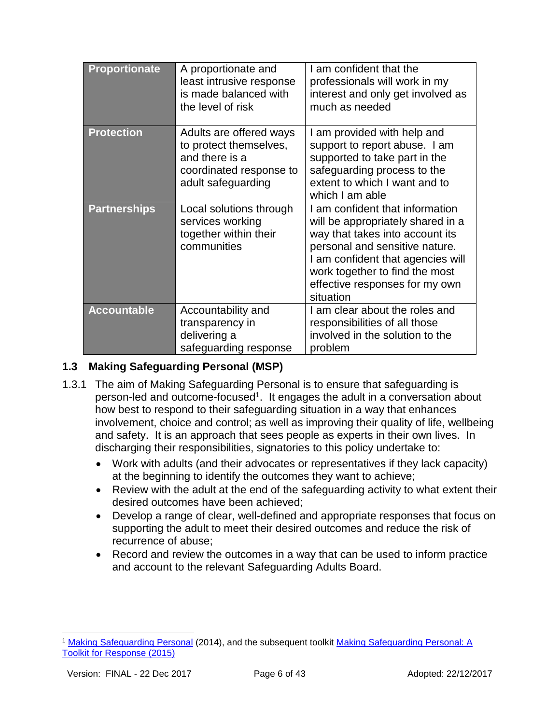| <b>Proportionate</b> | A proportionate and<br>least intrusive response<br>is made balanced with<br>the level of risk                        | I am confident that the<br>professionals will work in my<br>interest and only get involved as<br>much as needed                                                                                                                                                 |
|----------------------|----------------------------------------------------------------------------------------------------------------------|-----------------------------------------------------------------------------------------------------------------------------------------------------------------------------------------------------------------------------------------------------------------|
| <b>Protection</b>    | Adults are offered ways<br>to protect themselves,<br>and there is a<br>coordinated response to<br>adult safeguarding | I am provided with help and<br>support to report abuse. I am<br>supported to take part in the<br>safeguarding process to the<br>extent to which I want and to<br>which I am able                                                                                |
| <b>Partnerships</b>  | Local solutions through<br>services working<br>together within their<br>communities                                  | I am confident that information<br>will be appropriately shared in a<br>way that takes into account its<br>personal and sensitive nature.<br>I am confident that agencies will<br>work together to find the most<br>effective responses for my own<br>situation |
| <b>Accountable</b>   | Accountability and<br>transparency in<br>delivering a<br>safeguarding response                                       | I am clear about the roles and<br>responsibilities of all those<br>involved in the solution to the<br>problem                                                                                                                                                   |

#### <span id="page-5-0"></span>**1.3 Making Safeguarding Personal (MSP)**

- 1.3.1 The aim of Making Safeguarding Personal is to ensure that safeguarding is person-led and outcome-focused<sup>1</sup>. It engages the adult in a conversation about how best to respond to their safeguarding situation in a way that enhances involvement, choice and control; as well as improving their quality of life, wellbeing and safety. It is an approach that sees people as experts in their own lives. In discharging their responsibilities, signatories to this policy undertake to:
	- Work with adults (and their advocates or representatives if they lack capacity) at the beginning to identify the outcomes they want to achieve;
	- Review with the adult at the end of the safeguarding activity to what extent their desired outcomes have been achieved;
	- Develop a range of clear, well-defined and appropriate responses that focus on supporting the adult to meet their desired outcomes and reduce the risk of recurrence of abuse;
	- Record and review the outcomes in a way that can be used to inform practice and account to the relevant Safeguarding Adults Board.

l

<sup>1</sup> [Making Safeguarding Personal](http://www.local.gov.uk/documents/10180/5854661/Making+Safeguarding+Personal+-+Guide+2014/4213d016-2732-40d4-bbc0-d0d8639ef0df) (2014), and the subsequent toolkit [Making Safeguarding Personal: A](http://www.local.gov.uk/documents/10180/6869714/Making+safeguarding+personal_a+toolkit+for+responses_4th+Edition+2015.pdf/1a5845c2-9dfc-4afd-abac-d0f8f32914bc)  [Toolkit for Response \(2015\)](http://www.local.gov.uk/documents/10180/6869714/Making+safeguarding+personal_a+toolkit+for+responses_4th+Edition+2015.pdf/1a5845c2-9dfc-4afd-abac-d0f8f32914bc)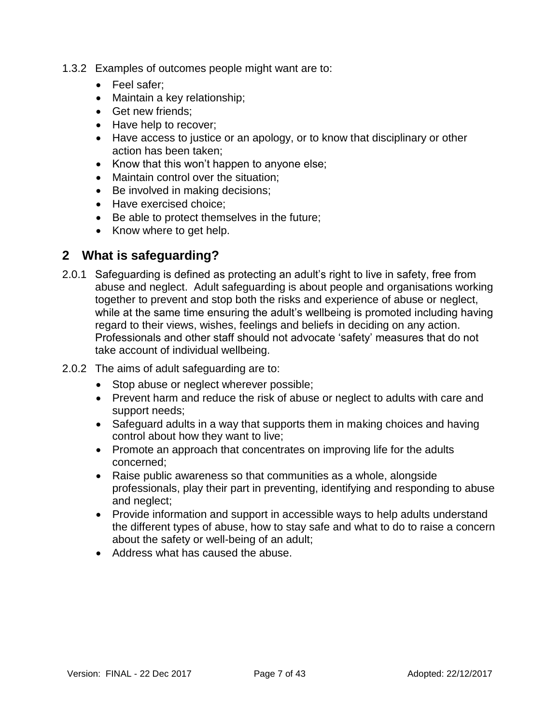- 1.3.2 Examples of outcomes people might want are to:
	- Feel safer:
	- Maintain a key relationship;
	- Get new friends:
	- Have help to recover:
	- Have access to justice or an apology, or to know that disciplinary or other action has been taken;
	- Know that this won't happen to anyone else;
	- Maintain control over the situation;
	- Be involved in making decisions;
	- Have exercised choice;
	- Be able to protect themselves in the future;
	- Know where to get help.

### <span id="page-6-0"></span>**2 What is safeguarding?**

- 2.0.1 Safeguarding is defined as protecting an adult's right to live in safety, free from abuse and neglect. Adult safeguarding is about people and organisations working together to prevent and stop both the risks and experience of abuse or neglect, while at the same time ensuring the adult's wellbeing is promoted including having regard to their views, wishes, feelings and beliefs in deciding on any action. Professionals and other staff should not advocate 'safety' measures that do not take account of individual wellbeing.
- 2.0.2 The aims of adult safeguarding are to:
	- Stop abuse or neglect wherever possible;
	- Prevent harm and reduce the risk of abuse or neglect to adults with care and support needs;
	- Safeguard adults in a way that supports them in making choices and having control about how they want to live;
	- Promote an approach that concentrates on improving life for the adults concerned;
	- Raise public awareness so that communities as a whole, alongside professionals, play their part in preventing, identifying and responding to abuse and neglect;
	- Provide information and support in accessible ways to help adults understand the different types of abuse, how to stay safe and what to do to raise a concern about the safety or well-being of an adult;
	- Address what has caused the abuse.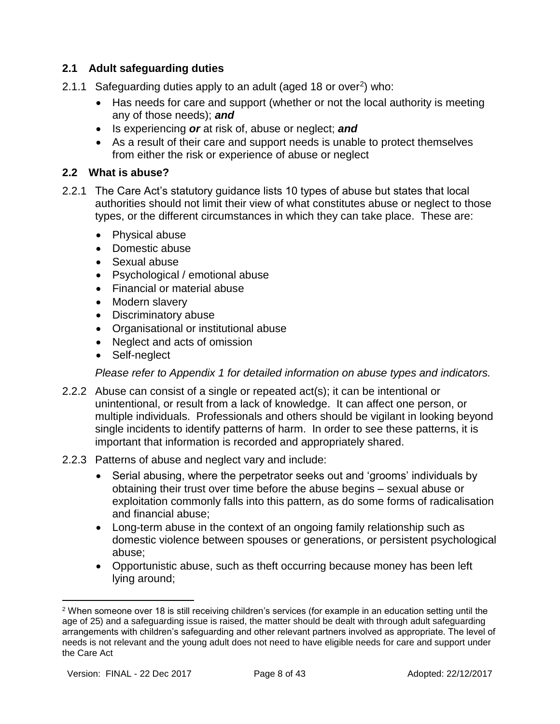#### **2.1 Adult safeguarding duties**

- 2.1.1 Safeguarding duties apply to an adult (aged 18 or over<sup>2</sup>) who:
	- Has needs for care and support (whether or not the local authority is meeting any of those needs); *and*
	- Is experiencing *or* at risk of, abuse or neglect; *and*
	- As a result of their care and support needs is unable to protect themselves from either the risk or experience of abuse or neglect

#### <span id="page-7-0"></span>**2.2 What is abuse?**

- 2.2.1 The Care Act's statutory guidance lists 10 types of abuse but states that local authorities should not limit their view of what constitutes abuse or neglect to those types, or the different circumstances in which they can take place. These are:
	- Physical abuse
	- Domestic abuse
	- Sexual abuse
	- Psychological / emotional abuse
	- Financial or material abuse
	- Modern slavery
	- Discriminatory abuse
	- Organisational or institutional abuse
	- Neglect and acts of omission
	- Self-neglect

*Please refer to Appendix 1 for detailed information on abuse types and indicators.*

- 2.2.2 Abuse can consist of a single or repeated act(s); it can be intentional or unintentional, or result from a lack of knowledge. It can affect one person, or multiple individuals. Professionals and others should be vigilant in looking beyond single incidents to identify patterns of harm. In order to see these patterns, it is important that information is recorded and appropriately shared.
- 2.2.3 Patterns of abuse and neglect vary and include:
	- Serial abusing, where the perpetrator seeks out and 'grooms' individuals by obtaining their trust over time before the abuse begins – sexual abuse or exploitation commonly falls into this pattern, as do some forms of radicalisation and financial abuse;
	- Long-term abuse in the context of an ongoing family relationship such as domestic violence between spouses or generations, or persistent psychological abuse;
	- Opportunistic abuse, such as theft occurring because money has been left lying around;

 $\overline{a}$ 

<sup>&</sup>lt;sup>2</sup> When someone over 18 is still receiving children's services (for example in an education setting until the age of 25) and a safeguarding issue is raised, the matter should be dealt with through adult safeguarding arrangements with children's safeguarding and other relevant partners involved as appropriate. The level of needs is not relevant and the young adult does not need to have eligible needs for care and support under the Care Act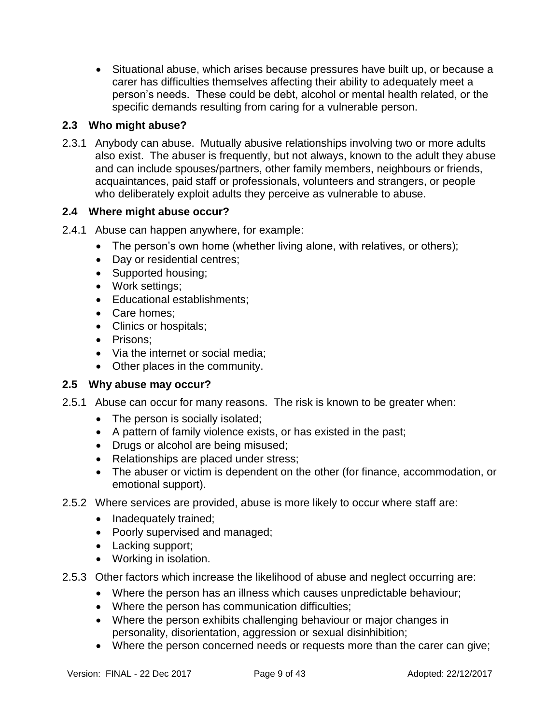Situational abuse, which arises because pressures have built up, or because a carer has difficulties themselves affecting their ability to adequately meet a person's needs. These could be debt, alcohol or mental health related, or the specific demands resulting from caring for a vulnerable person.

#### <span id="page-8-0"></span>**2.3 Who might abuse?**

2.3.1 Anybody can abuse. Mutually abusive relationships involving two or more adults also exist. The abuser is frequently, but not always, known to the adult they abuse and can include spouses/partners, other family members, neighbours or friends, acquaintances, paid staff or professionals, volunteers and strangers, or people who deliberately exploit adults they perceive as vulnerable to abuse.

#### <span id="page-8-1"></span>**2.4 Where might abuse occur?**

- 2.4.1 Abuse can happen anywhere, for example:
	- The person's own home (whether living alone, with relatives, or others);
	- Day or residential centres;
	- Supported housing;
	- Work settings;
	- Educational establishments:
	- Care homes:
	- Clinics or hospitals;
	- Prisons:
	- Via the internet or social media:
	- Other places in the community.

#### <span id="page-8-2"></span>**2.5 Why abuse may occur?**

- 2.5.1 Abuse can occur for many reasons. The risk is known to be greater when:
	- The person is socially isolated;
	- A pattern of family violence exists, or has existed in the past;
	- Drugs or alcohol are being misused;
	- Relationships are placed under stress;
	- The abuser or victim is dependent on the other (for finance, accommodation, or emotional support).
- 2.5.2 Where services are provided, abuse is more likely to occur where staff are:
	- Inadequately trained;
	- Poorly supervised and managed;
	- Lacking support;
	- Working in isolation.
- 2.5.3 Other factors which increase the likelihood of abuse and neglect occurring are:
	- Where the person has an illness which causes unpredictable behaviour;
	- Where the person has communication difficulties;
	- Where the person exhibits challenging behaviour or major changes in personality, disorientation, aggression or sexual disinhibition;
	- Where the person concerned needs or requests more than the carer can give;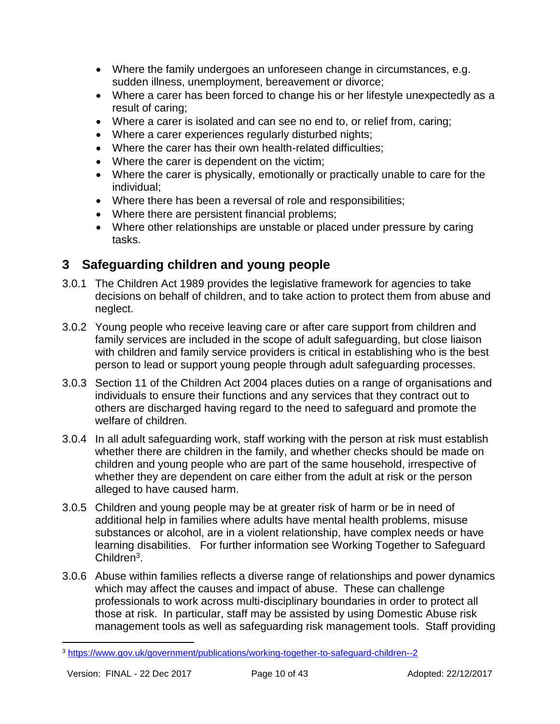- Where the family undergoes an unforeseen change in circumstances, e.g. sudden illness, unemployment, bereavement or divorce;
- Where a carer has been forced to change his or her lifestyle unexpectedly as a result of caring;
- Where a carer is isolated and can see no end to, or relief from, caring;
- Where a carer experiences regularly disturbed nights;
- Where the carer has their own health-related difficulties:
- Where the carer is dependent on the victim;
- Where the carer is physically, emotionally or practically unable to care for the individual;
- Where there has been a reversal of role and responsibilities;
- Where there are persistent financial problems;
- Where other relationships are unstable or placed under pressure by caring tasks.

### <span id="page-9-0"></span>**3 Safeguarding children and young people**

- 3.0.1 The Children Act 1989 provides the legislative framework for agencies to take decisions on behalf of children, and to take action to protect them from abuse and neglect.
- 3.0.2 Young people who receive leaving care or after care support from children and family services are included in the scope of adult safeguarding, but close liaison with children and family service providers is critical in establishing who is the best person to lead or support young people through adult safeguarding processes.
- 3.0.3 Section 11 of the Children Act 2004 places duties on a range of organisations and individuals to ensure their functions and any services that they contract out to others are discharged having regard to the need to safeguard and promote the welfare of children.
- 3.0.4 In all adult safeguarding work, staff working with the person at risk must establish whether there are children in the family, and whether checks should be made on children and young people who are part of the same household, irrespective of whether they are dependent on care either from the adult at risk or the person alleged to have caused harm.
- 3.0.5 Children and young people may be at greater risk of harm or be in need of additional help in families where adults have mental health problems, misuse substances or alcohol, are in a violent relationship, have complex needs or have learning disabilities. For further information see Working Together to Safeguard Children<sup>3</sup>.
- 3.0.6 Abuse within families reflects a diverse range of relationships and power dynamics which may affect the causes and impact of abuse. These can challenge professionals to work across multi-disciplinary boundaries in order to protect all those at risk. In particular, staff may be assisted by using Domestic Abuse risk management tools as well as safeguarding risk management tools. Staff providing

l

<sup>3</sup> https://www.gov.uk/government/publications/working-together-to-safeguard-children--2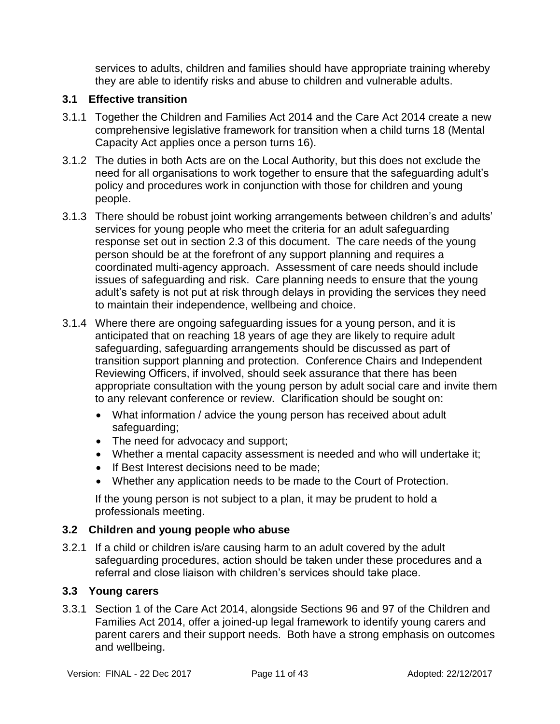services to adults, children and families should have appropriate training whereby they are able to identify risks and abuse to children and vulnerable adults.

#### <span id="page-10-0"></span>**3.1 Effective transition**

- 3.1.1 Together the Children and Families Act 2014 and the Care Act 2014 create a new comprehensive legislative framework for transition when a child turns 18 (Mental Capacity Act applies once a person turns 16).
- 3.1.2 The duties in both Acts are on the Local Authority, but this does not exclude the need for all organisations to work together to ensure that the safeguarding adult's policy and procedures work in conjunction with those for children and young people.
- 3.1.3 There should be robust joint working arrangements between children's and adults' services for young people who meet the criteria for an adult safeguarding response set out in section 2.3 of this document. The care needs of the young person should be at the forefront of any support planning and requires a coordinated multi-agency approach. Assessment of care needs should include issues of safeguarding and risk. Care planning needs to ensure that the young adult's safety is not put at risk through delays in providing the services they need to maintain their independence, wellbeing and choice.
- 3.1.4 Where there are ongoing safeguarding issues for a young person, and it is anticipated that on reaching 18 years of age they are likely to require adult safeguarding, safeguarding arrangements should be discussed as part of transition support planning and protection. Conference Chairs and Independent Reviewing Officers, if involved, should seek assurance that there has been appropriate consultation with the young person by adult social care and invite them to any relevant conference or review. Clarification should be sought on:
	- What information / advice the young person has received about adult safeguarding;
	- The need for advocacy and support;
	- Whether a mental capacity assessment is needed and who will undertake it;
	- If Best Interest decisions need to be made;
	- Whether any application needs to be made to the Court of Protection.

If the young person is not subject to a plan, it may be prudent to hold a professionals meeting.

#### <span id="page-10-1"></span>**3.2 Children and young people who abuse**

3.2.1 If a child or children is/are causing harm to an adult covered by the adult safeguarding procedures, action should be taken under these procedures and a referral and close liaison with children's services should take place.

#### <span id="page-10-2"></span>**3.3 Young carers**

3.3.1 Section 1 of the Care Act 2014, alongside Sections 96 and 97 of the Children and Families Act 2014, offer a joined-up legal framework to identify young carers and parent carers and their support needs. Both have a strong emphasis on outcomes and wellbeing.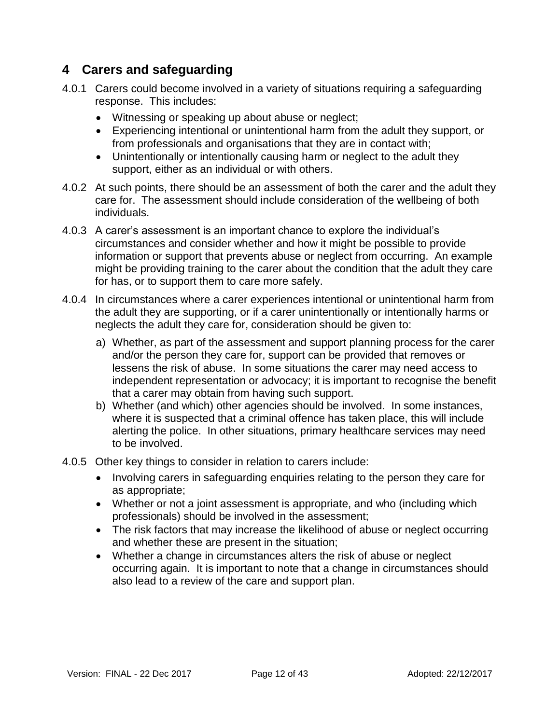### <span id="page-11-0"></span>**4 Carers and safeguarding**

- 4.0.1 Carers could become involved in a variety of situations requiring a safeguarding response. This includes:
	- Witnessing or speaking up about abuse or neglect;
	- Experiencing intentional or unintentional harm from the adult they support, or from professionals and organisations that they are in contact with;
	- Unintentionally or intentionally causing harm or neglect to the adult they support, either as an individual or with others.
- 4.0.2 At such points, there should be an assessment of both the carer and the adult they care for. The assessment should include consideration of the wellbeing of both individuals.
- 4.0.3 A carer's assessment is an important chance to explore the individual's circumstances and consider whether and how it might be possible to provide information or support that prevents abuse or neglect from occurring. An example might be providing training to the carer about the condition that the adult they care for has, or to support them to care more safely.
- 4.0.4 In circumstances where a carer experiences intentional or unintentional harm from the adult they are supporting, or if a carer unintentionally or intentionally harms or neglects the adult they care for, consideration should be given to:
	- a) Whether, as part of the assessment and support planning process for the carer and/or the person they care for, support can be provided that removes or lessens the risk of abuse. In some situations the carer may need access to independent representation or advocacy; it is important to recognise the benefit that a carer may obtain from having such support.
	- b) Whether (and which) other agencies should be involved. In some instances, where it is suspected that a criminal offence has taken place, this will include alerting the police. In other situations, primary healthcare services may need to be involved.
- <span id="page-11-1"></span>4.0.5 Other key things to consider in relation to carers include:
	- Involving carers in safeguarding enquiries relating to the person they care for as appropriate;
	- Whether or not a joint assessment is appropriate, and who (including which professionals) should be involved in the assessment;
	- The risk factors that may increase the likelihood of abuse or neglect occurring and whether these are present in the situation;
	- Whether a change in circumstances alters the risk of abuse or neglect occurring again. It is important to note that a change in circumstances should also lead to a review of the care and support plan.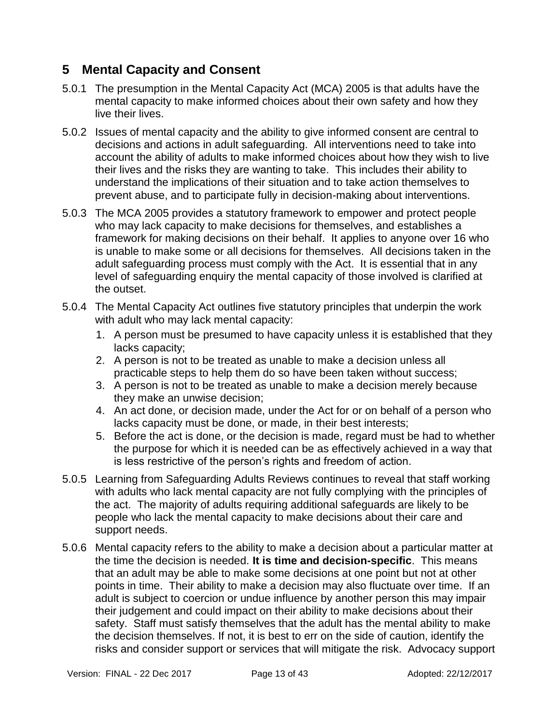### **5 Mental Capacity and Consent**

- 5.0.1 The presumption in the Mental Capacity Act (MCA) 2005 is that adults have the mental capacity to make informed choices about their own safety and how they live their lives.
- 5.0.2 Issues of mental capacity and the ability to give informed consent are central to decisions and actions in adult safeguarding. All interventions need to take into account the ability of adults to make informed choices about how they wish to live their lives and the risks they are wanting to take. This includes their ability to understand the implications of their situation and to take action themselves to prevent abuse, and to participate fully in decision-making about interventions.
- 5.0.3 The MCA 2005 provides a statutory framework to empower and protect people who may lack capacity to make decisions for themselves, and establishes a framework for making decisions on their behalf. It applies to anyone over 16 who is unable to make some or all decisions for themselves. All decisions taken in the adult safeguarding process must comply with the Act. It is essential that in any level of safeguarding enquiry the mental capacity of those involved is clarified at the outset.
- 5.0.4 The Mental Capacity Act outlines five statutory principles that underpin the work with adult who may lack mental capacity:
	- 1. A person must be presumed to have capacity unless it is established that they lacks capacity;
	- 2. A person is not to be treated as unable to make a decision unless all practicable steps to help them do so have been taken without success;
	- 3. A person is not to be treated as unable to make a decision merely because they make an unwise decision;
	- 4. An act done, or decision made, under the Act for or on behalf of a person who lacks capacity must be done, or made, in their best interests;
	- 5. Before the act is done, or the decision is made, regard must be had to whether the purpose for which it is needed can be as effectively achieved in a way that is less restrictive of the person's rights and freedom of action.
- 5.0.5 Learning from Safeguarding Adults Reviews continues to reveal that staff working with adults who lack mental capacity are not fully complying with the principles of the act. The majority of adults requiring additional safeguards are likely to be people who lack the mental capacity to make decisions about their care and support needs.
- 5.0.6 Mental capacity refers to the ability to make a decision about a particular matter at the time the decision is needed. **It is time and decision-specific**. This means that an adult may be able to make some decisions at one point but not at other points in time. Their ability to make a decision may also fluctuate over time. If an adult is subject to coercion or undue influence by another person this may impair their judgement and could impact on their ability to make decisions about their safety. Staff must satisfy themselves that the adult has the mental ability to make the decision themselves. If not, it is best to err on the side of caution, identify the risks and consider support or services that will mitigate the risk. Advocacy support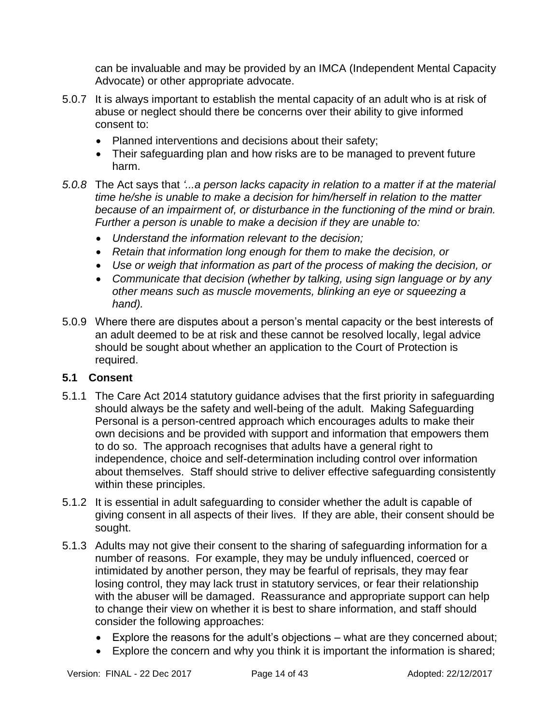can be invaluable and may be provided by an IMCA (Independent Mental Capacity Advocate) or other appropriate advocate.

- 5.0.7 It is always important to establish the mental capacity of an adult who is at risk of abuse or neglect should there be concerns over their ability to give informed consent to:
	- Planned interventions and decisions about their safety;
	- Their safeguarding plan and how risks are to be managed to prevent future harm.
- *5.0.8* The Act says that *'...a person lacks capacity in relation to a matter if at the material time he/she is unable to make a decision for him/herself in relation to the matter because of an impairment of, or disturbance in the functioning of the mind or brain. Further a person is unable to make a decision if they are unable to:*
	- *Understand the information relevant to the decision;*
	- *Retain that information long enough for them to make the decision, or*
	- *Use or weigh that information as part of the process of making the decision, or*
	- *Communicate that decision (whether by talking, using sign language or by any other means such as muscle movements, blinking an eye or squeezing a hand).*
- 5.0.9 Where there are disputes about a person's mental capacity or the best interests of an adult deemed to be at risk and these cannot be resolved locally, legal advice should be sought about whether an application to the Court of Protection is required.

#### <span id="page-13-0"></span>**5.1 Consent**

- 5.1.1 The Care Act 2014 statutory guidance advises that the first priority in safeguarding should always be the safety and well-being of the adult. Making Safeguarding Personal is a person-centred approach which encourages adults to make their own decisions and be provided with support and information that empowers them to do so. The approach recognises that adults have a general right to independence, choice and self-determination including control over information about themselves. Staff should strive to deliver effective safeguarding consistently within these principles.
- 5.1.2 It is essential in adult safeguarding to consider whether the adult is capable of giving consent in all aspects of their lives. If they are able, their consent should be sought.
- 5.1.3 Adults may not give their consent to the sharing of safeguarding information for a number of reasons. For example, they may be unduly influenced, coerced or intimidated by another person, they may be fearful of reprisals, they may fear losing control, they may lack trust in statutory services, or fear their relationship with the abuser will be damaged. Reassurance and appropriate support can help to change their view on whether it is best to share information, and staff should consider the following approaches:
	- Explore the reasons for the adult's objections what are they concerned about;
	- Explore the concern and why you think it is important the information is shared;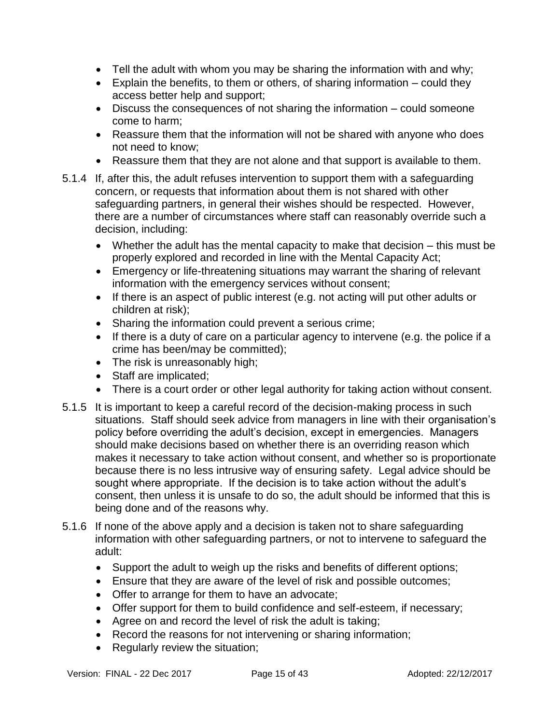- Tell the adult with whom you may be sharing the information with and why;
- Explain the benefits, to them or others, of sharing information  $-$  could they access better help and support;
- Discuss the consequences of not sharing the information could someone come to harm;
- Reassure them that the information will not be shared with anyone who does not need to know;
- Reassure them that they are not alone and that support is available to them.
- 5.1.4 If, after this, the adult refuses intervention to support them with a safeguarding concern, or requests that information about them is not shared with other safeguarding partners, in general their wishes should be respected. However, there are a number of circumstances where staff can reasonably override such a decision, including:
	- Whether the adult has the mental capacity to make that decision this must be properly explored and recorded in line with the Mental Capacity Act;
	- Emergency or life-threatening situations may warrant the sharing of relevant information with the emergency services without consent;
	- If there is an aspect of public interest (e.g. not acting will put other adults or children at risk);
	- Sharing the information could prevent a serious crime;
	- If there is a duty of care on a particular agency to intervene (e.g. the police if a crime has been/may be committed);
	- The risk is unreasonably high;
	- Staff are implicated;
	- There is a court order or other legal authority for taking action without consent.
- 5.1.5 It is important to keep a careful record of the decision-making process in such situations. Staff should seek advice from managers in line with their organisation's policy before overriding the adult's decision, except in emergencies. Managers should make decisions based on whether there is an overriding reason which makes it necessary to take action without consent, and whether so is proportionate because there is no less intrusive way of ensuring safety. Legal advice should be sought where appropriate. If the decision is to take action without the adult's consent, then unless it is unsafe to do so, the adult should be informed that this is being done and of the reasons why.
- 5.1.6 If none of the above apply and a decision is taken not to share safeguarding information with other safeguarding partners, or not to intervene to safeguard the adult:
	- Support the adult to weigh up the risks and benefits of different options;
	- Ensure that they are aware of the level of risk and possible outcomes;
	- Offer to arrange for them to have an advocate;
	- Offer support for them to build confidence and self-esteem, if necessary;
	- Agree on and record the level of risk the adult is taking;
	- Record the reasons for not intervening or sharing information;
	- Regularly review the situation;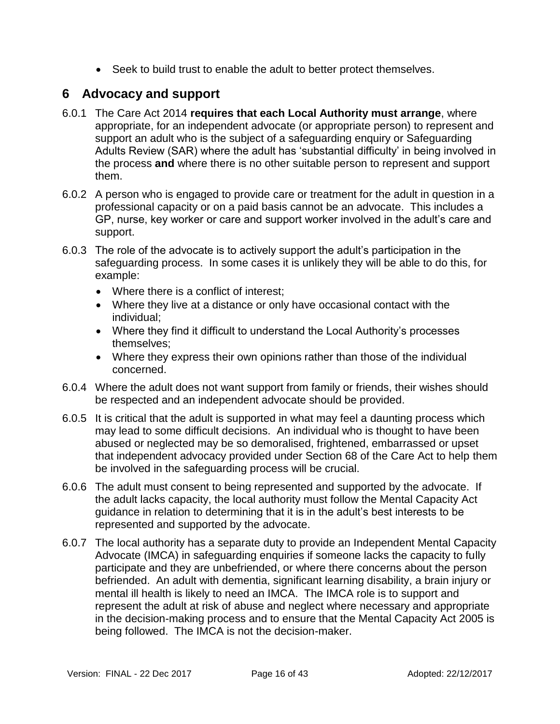• Seek to build trust to enable the adult to better protect themselves.

### <span id="page-15-0"></span>**6 Advocacy and support**

- 6.0.1 The Care Act 2014 **requires that each Local Authority must arrange**, where appropriate, for an independent advocate (or appropriate person) to represent and support an adult who is the subject of a safeguarding enquiry or Safeguarding Adults Review (SAR) where the adult has 'substantial difficulty' in being involved in the process **and** where there is no other suitable person to represent and support them.
- 6.0.2 A person who is engaged to provide care or treatment for the adult in question in a professional capacity or on a paid basis cannot be an advocate. This includes a GP, nurse, key worker or care and support worker involved in the adult's care and support.
- 6.0.3 The role of the advocate is to actively support the adult's participation in the safeguarding process. In some cases it is unlikely they will be able to do this, for example:
	- Where there is a conflict of interest:
	- Where they live at a distance or only have occasional contact with the individual;
	- Where they find it difficult to understand the Local Authority's processes themselves;
	- Where they express their own opinions rather than those of the individual concerned.
- 6.0.4 Where the adult does not want support from family or friends, their wishes should be respected and an independent advocate should be provided.
- 6.0.5 It is critical that the adult is supported in what may feel a daunting process which may lead to some difficult decisions. An individual who is thought to have been abused or neglected may be so demoralised, frightened, embarrassed or upset that independent advocacy provided under Section 68 of the Care Act to help them be involved in the safeguarding process will be crucial.
- 6.0.6 The adult must consent to being represented and supported by the advocate. If the adult lacks capacity, the local authority must follow the Mental Capacity Act guidance in relation to determining that it is in the adult's best interests to be represented and supported by the advocate.
- 6.0.7 The local authority has a separate duty to provide an Independent Mental Capacity Advocate (IMCA) in safeguarding enquiries if someone lacks the capacity to fully participate and they are unbefriended, or where there concerns about the person befriended. An adult with dementia, significant learning disability, a brain injury or mental ill health is likely to need an IMCA. The IMCA role is to support and represent the adult at risk of abuse and neglect where necessary and appropriate in the decision-making process and to ensure that the Mental Capacity Act 2005 is being followed. The IMCA is not the decision-maker.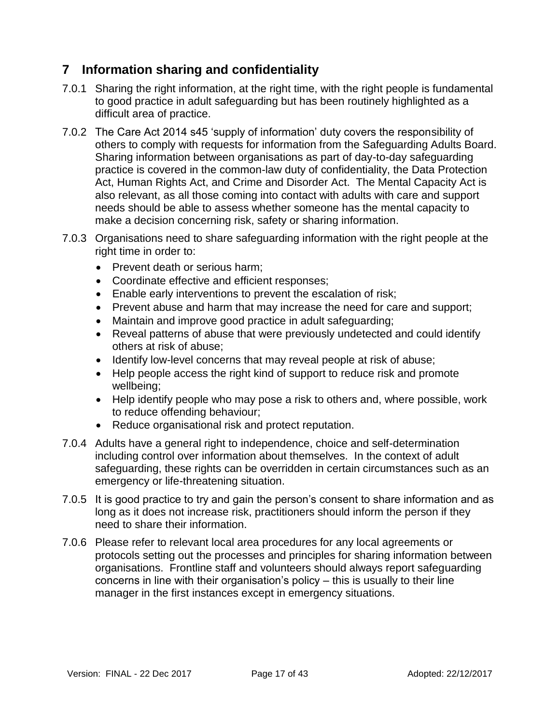### <span id="page-16-0"></span>**7 Information sharing and confidentiality**

- 7.0.1 Sharing the right information, at the right time, with the right people is fundamental to good practice in adult safeguarding but has been routinely highlighted as a difficult area of practice.
- 7.0.2 The Care Act 2014 s45 'supply of information' duty covers the responsibility of others to comply with requests for information from the Safeguarding Adults Board. Sharing information between organisations as part of day-to-day safeguarding practice is covered in the common-law duty of confidentiality, the Data Protection Act, Human Rights Act, and Crime and Disorder Act. The Mental Capacity Act is also relevant, as all those coming into contact with adults with care and support needs should be able to assess whether someone has the mental capacity to make a decision concerning risk, safety or sharing information.
- 7.0.3 Organisations need to share safeguarding information with the right people at the right time in order to:
	- Prevent death or serious harm;
	- Coordinate effective and efficient responses;
	- Enable early interventions to prevent the escalation of risk;
	- Prevent abuse and harm that may increase the need for care and support;
	- Maintain and improve good practice in adult safeguarding;
	- Reveal patterns of abuse that were previously undetected and could identify others at risk of abuse;
	- Identify low-level concerns that may reveal people at risk of abuse;
	- Help people access the right kind of support to reduce risk and promote wellbeing;
	- Help identify people who may pose a risk to others and, where possible, work to reduce offending behaviour;
	- Reduce organisational risk and protect reputation.
- 7.0.4 Adults have a general right to independence, choice and self-determination including control over information about themselves. In the context of adult safeguarding, these rights can be overridden in certain circumstances such as an emergency or life-threatening situation.
- 7.0.5 It is good practice to try and gain the person's consent to share information and as long as it does not increase risk, practitioners should inform the person if they need to share their information.
- <span id="page-16-1"></span>7.0.6 Please refer to relevant local area procedures for any local agreements or protocols setting out the processes and principles for sharing information between organisations. Frontline staff and volunteers should always report safeguarding concerns in line with their organisation's policy – this is usually to their line manager in the first instances except in emergency situations.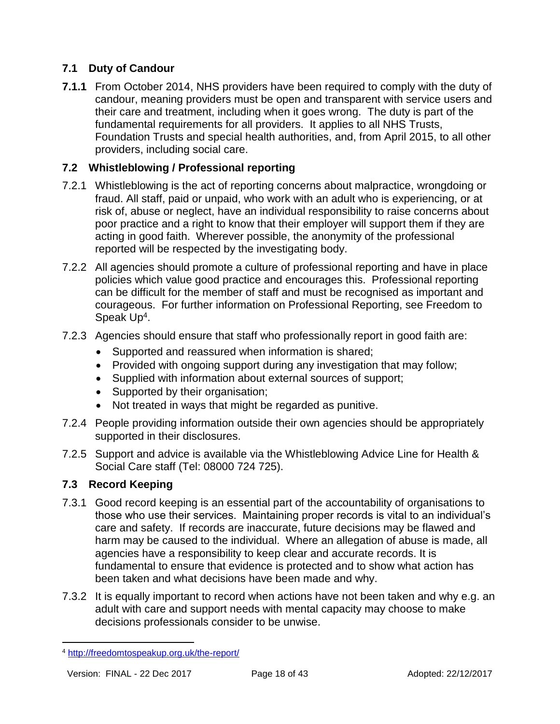#### **7.1 Duty of Candour**

**7.1.1** From October 2014, NHS providers have been required to comply with the duty of candour, meaning providers must be open and transparent with service users and their care and treatment, including when it goes wrong. The duty is part of the fundamental requirements for all providers. It applies to all NHS Trusts, Foundation Trusts and special health authorities, and, from April 2015, to all other providers, including social care.

#### <span id="page-17-0"></span>**7.2 Whistleblowing / Professional reporting**

- 7.2.1 Whistleblowing is the act of reporting concerns about malpractice, wrongdoing or fraud. All staff, paid or unpaid, who work with an adult who is experiencing, or at risk of, abuse or neglect, have an individual responsibility to raise concerns about poor practice and a right to know that their employer will support them if they are acting in good faith. Wherever possible, the anonymity of the professional reported will be respected by the investigating body.
- 7.2.2 All agencies should promote a culture of professional reporting and have in place policies which value good practice and encourages this. Professional reporting can be difficult for the member of staff and must be recognised as important and courageous. For further information on Professional Reporting, see Freedom to Speak Up<sup>4</sup>.
- 7.2.3 Agencies should ensure that staff who professionally report in good faith are:
	- Supported and reassured when information is shared;
	- Provided with ongoing support during any investigation that may follow;
	- Supplied with information about external sources of support;
	- Supported by their organisation;
	- Not treated in ways that might be regarded as punitive.
- 7.2.4 People providing information outside their own agencies should be appropriately supported in their disclosures.
- 7.2.5 Support and advice is available via the Whistleblowing Advice Line for Health & Social Care staff (Tel: 08000 724 725).

#### <span id="page-17-1"></span>**7.3 Record Keeping**

- 7.3.1 Good record keeping is an essential part of the accountability of organisations to those who use their services. Maintaining proper records is vital to an individual's care and safety. If records are inaccurate, future decisions may be flawed and harm may be caused to the individual. Where an allegation of abuse is made, all agencies have a responsibility to keep clear and accurate records. It is fundamental to ensure that evidence is protected and to show what action has been taken and what decisions have been made and why.
- 7.3.2 It is equally important to record when actions have not been taken and why e.g. an adult with care and support needs with mental capacity may choose to make decisions professionals consider to be unwise.

l

<sup>4</sup> <http://freedomtospeakup.org.uk/the-report/>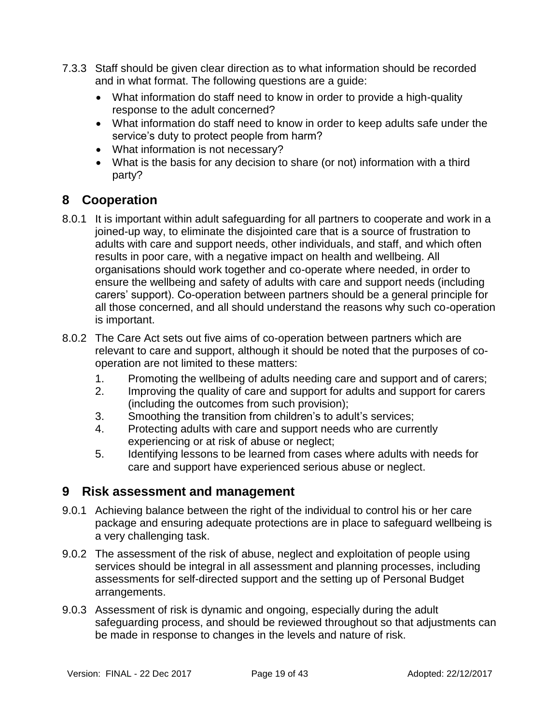- 7.3.3 Staff should be given clear direction as to what information should be recorded and in what format. The following questions are a guide:
	- What information do staff need to know in order to provide a high-quality response to the adult concerned?
	- What information do staff need to know in order to keep adults safe under the service's duty to protect people from harm?
	- What information is not necessary?
	- What is the basis for any decision to share (or not) information with a third party?

# <span id="page-18-0"></span>**8 Cooperation**

- 8.0.1 It is important within adult safeguarding for all partners to cooperate and work in a joined-up way, to eliminate the disjointed care that is a source of frustration to adults with care and support needs, other individuals, and staff, and which often results in poor care, with a negative impact on health and wellbeing. All organisations should work together and co-operate where needed, in order to ensure the wellbeing and safety of adults with care and support needs (including carers' support). Co-operation between partners should be a general principle for all those concerned, and all should understand the reasons why such co-operation is important.
- 8.0.2 The Care Act sets out five aims of co-operation between partners which are relevant to care and support, although it should be noted that the purposes of cooperation are not limited to these matters:
	- 1. Promoting the wellbeing of adults needing care and support and of carers;
	- 2. Improving the quality of care and support for adults and support for carers (including the outcomes from such provision);
	- 3. Smoothing the transition from children's to adult's services;
	- 4. Protecting adults with care and support needs who are currently experiencing or at risk of abuse or neglect;
	- 5. Identifying lessons to be learned from cases where adults with needs for care and support have experienced serious abuse or neglect.

### <span id="page-18-1"></span>**9 Risk assessment and management**

- 9.0.1 Achieving balance between the right of the individual to control his or her care package and ensuring adequate protections are in place to safeguard wellbeing is a very challenging task.
- 9.0.2 The assessment of the risk of abuse, neglect and exploitation of people using services should be integral in all assessment and planning processes, including assessments for self-directed support and the setting up of Personal Budget arrangements.
- 9.0.3 Assessment of risk is dynamic and ongoing, especially during the adult safeguarding process, and should be reviewed throughout so that adjustments can be made in response to changes in the levels and nature of risk.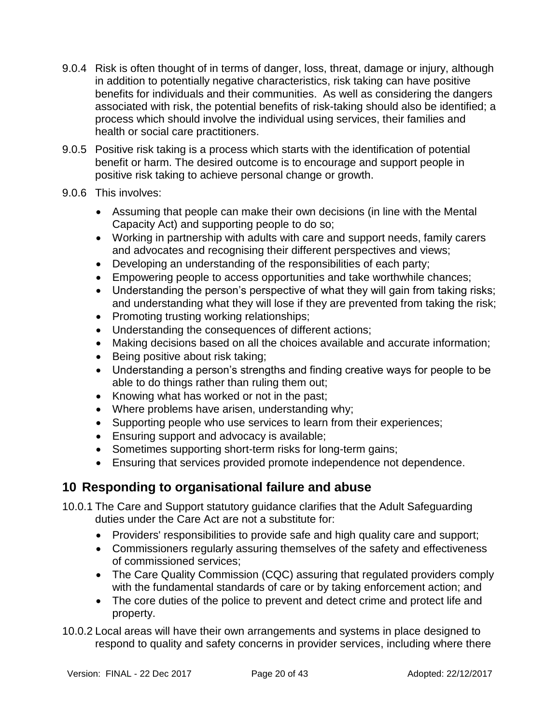- 9.0.4 Risk is often thought of in terms of danger, loss, threat, damage or injury, although in addition to potentially negative characteristics, risk taking can have positive benefits for individuals and their communities. As well as considering the dangers associated with risk, the potential benefits of risk-taking should also be identified; a process which should involve the individual using services, their families and health or social care practitioners.
- 9.0.5 Positive risk taking is a process which starts with the identification of potential benefit or harm. The desired outcome is to encourage and support people in positive risk taking to achieve personal change or growth.
- 9.0.6 This involves:
	- Assuming that people can make their own decisions (in line with the Mental Capacity Act) and supporting people to do so;
	- Working in partnership with adults with care and support needs, family carers and advocates and recognising their different perspectives and views;
	- Developing an understanding of the responsibilities of each party;
	- Empowering people to access opportunities and take worthwhile chances;
	- Understanding the person's perspective of what they will gain from taking risks; and understanding what they will lose if they are prevented from taking the risk;
	- Promoting trusting working relationships;
	- Understanding the consequences of different actions;
	- Making decisions based on all the choices available and accurate information;
	- Being positive about risk taking;
	- Understanding a person's strengths and finding creative ways for people to be able to do things rather than ruling them out;
	- Knowing what has worked or not in the past;
	- Where problems have arisen, understanding why;
	- Supporting people who use services to learn from their experiences;
	- **Ensuring support and advocacy is available;**
	- Sometimes supporting short-term risks for long-term gains;
	- Ensuring that services provided promote independence not dependence.

### **10 Responding to organisational failure and abuse**

10.0.1 The Care and Support statutory guidance clarifies that the Adult Safeguarding duties under the Care Act are not a substitute for:

- <span id="page-19-0"></span>Providers' responsibilities to provide safe and high quality care and support;
- Commissioners regularly assuring themselves of the safety and effectiveness of commissioned services;
- The Care Quality Commission (CQC) assuring that regulated providers comply with the fundamental standards of care or by taking enforcement action; and
- The core duties of the police to prevent and detect crime and protect life and property.
- 10.0.2 Local areas will have their own arrangements and systems in place designed to respond to quality and safety concerns in provider services, including where there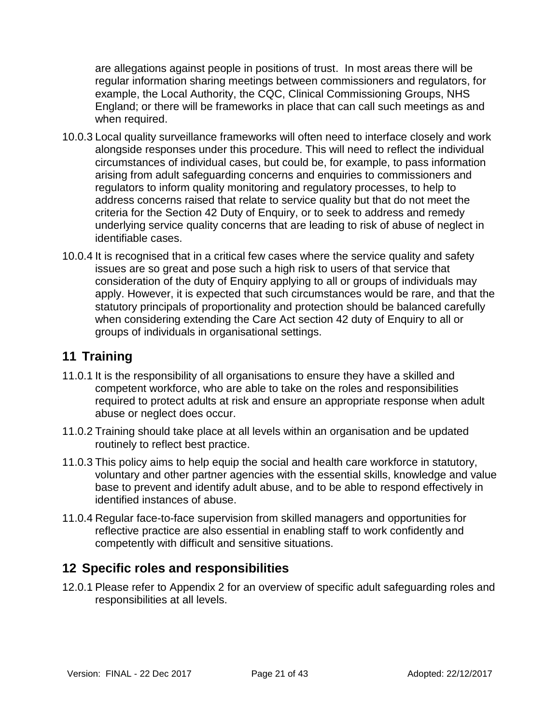are allegations against people in positions of trust. In most areas there will be regular information sharing meetings between commissioners and regulators, for example, the Local Authority, the CQC, Clinical Commissioning Groups, NHS England; or there will be frameworks in place that can call such meetings as and when required.

- 10.0.3 Local quality surveillance frameworks will often need to interface closely and work alongside responses under this procedure. This will need to reflect the individual circumstances of individual cases, but could be, for example, to pass information arising from adult safeguarding concerns and enquiries to commissioners and regulators to inform quality monitoring and regulatory processes, to help to address concerns raised that relate to service quality but that do not meet the criteria for the Section 42 Duty of Enquiry, or to seek to address and remedy underlying service quality concerns that are leading to risk of abuse of neglect in identifiable cases.
- 10.0.4 It is recognised that in a critical few cases where the service quality and safety issues are so great and pose such a high risk to users of that service that consideration of the duty of Enquiry applying to all or groups of individuals may apply. However, it is expected that such circumstances would be rare, and that the statutory principals of proportionality and protection should be balanced carefully when considering extending the Care Act section 42 duty of Enquiry to all or groups of individuals in organisational settings.

### <span id="page-20-0"></span>**11 Training**

- 11.0.1 It is the responsibility of all organisations to ensure they have a skilled and competent workforce, who are able to take on the roles and responsibilities required to protect adults at risk and ensure an appropriate response when adult abuse or neglect does occur.
- 11.0.2 Training should take place at all levels within an organisation and be updated routinely to reflect best practice.
- 11.0.3 This policy aims to help equip the social and health care workforce in statutory, voluntary and other partner agencies with the essential skills, knowledge and value base to prevent and identify adult abuse, and to be able to respond effectively in identified instances of abuse.
- 11.0.4 Regular face-to-face supervision from skilled managers and opportunities for reflective practice are also essential in enabling staff to work confidently and competently with difficult and sensitive situations.

### <span id="page-20-1"></span>**12 Specific roles and responsibilities**

12.0.1 Please refer to Appendix 2 for an overview of specific adult safeguarding roles and responsibilities at all levels.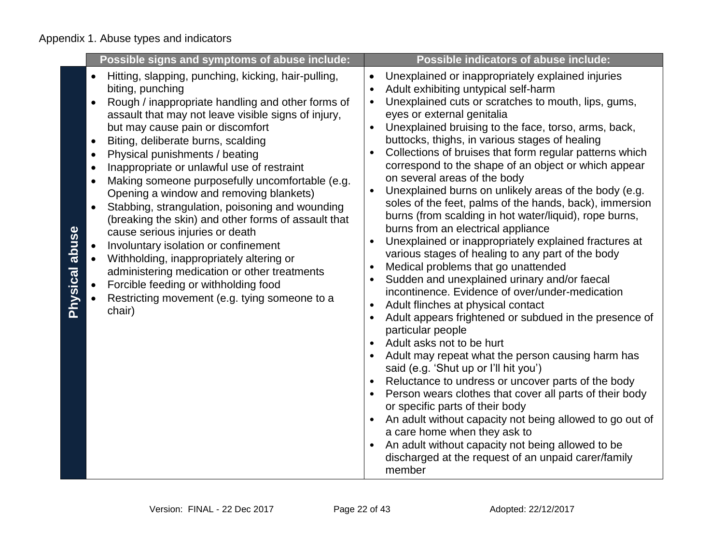|                | Possible signs and symptoms of abuse include:                                                                                                                                                                                                                                                                                                                                                                                                                                                                                                                                                                                                                                                                                                                                                                                                                                                                 | <b>Possible indicators of abuse include:</b>                                                                                                                                                                                                                                                                                                                                                                                                                                                                                                                                                                                                                                                                                                                                                                                                                                                                                                                                                                                                                                                                                                                                                                                                                                                                                                                                                                                                                                                                                                                                                                                                                                                              |
|----------------|---------------------------------------------------------------------------------------------------------------------------------------------------------------------------------------------------------------------------------------------------------------------------------------------------------------------------------------------------------------------------------------------------------------------------------------------------------------------------------------------------------------------------------------------------------------------------------------------------------------------------------------------------------------------------------------------------------------------------------------------------------------------------------------------------------------------------------------------------------------------------------------------------------------|-----------------------------------------------------------------------------------------------------------------------------------------------------------------------------------------------------------------------------------------------------------------------------------------------------------------------------------------------------------------------------------------------------------------------------------------------------------------------------------------------------------------------------------------------------------------------------------------------------------------------------------------------------------------------------------------------------------------------------------------------------------------------------------------------------------------------------------------------------------------------------------------------------------------------------------------------------------------------------------------------------------------------------------------------------------------------------------------------------------------------------------------------------------------------------------------------------------------------------------------------------------------------------------------------------------------------------------------------------------------------------------------------------------------------------------------------------------------------------------------------------------------------------------------------------------------------------------------------------------------------------------------------------------------------------------------------------------|
| Physical abuse | Hitting, slapping, punching, kicking, hair-pulling,<br>$\bullet$<br>biting, punching<br>Rough / inappropriate handling and other forms of<br>assault that may not leave visible signs of injury,<br>but may cause pain or discomfort<br>Biting, deliberate burns, scalding<br>$\bullet$<br>Physical punishments / beating<br>$\bullet$<br>Inappropriate or unlawful use of restraint<br>$\bullet$<br>Making someone purposefully uncomfortable (e.g.<br>$\bullet$<br>Opening a window and removing blankets)<br>Stabbing, strangulation, poisoning and wounding<br>$\bullet$<br>(breaking the skin) and other forms of assault that<br>cause serious injuries or death<br>Involuntary isolation or confinement<br>Withholding, inappropriately altering or<br>administering medication or other treatments<br>Forcible feeding or withholding food<br>Restricting movement (e.g. tying someone to a<br>chair) | Unexplained or inappropriately explained injuries<br>$\bullet$<br>Adult exhibiting untypical self-harm<br>$\bullet$<br>Unexplained cuts or scratches to mouth, lips, gums,<br>$\bullet$<br>eyes or external genitalia<br>Unexplained bruising to the face, torso, arms, back,<br>$\bullet$<br>buttocks, thighs, in various stages of healing<br>Collections of bruises that form regular patterns which<br>$\bullet$<br>correspond to the shape of an object or which appear<br>on several areas of the body<br>Unexplained burns on unlikely areas of the body (e.g.<br>$\bullet$<br>soles of the feet, palms of the hands, back), immersion<br>burns (from scalding in hot water/liquid), rope burns,<br>burns from an electrical appliance<br>Unexplained or inappropriately explained fractures at<br>$\bullet$<br>various stages of healing to any part of the body<br>Medical problems that go unattended<br>$\bullet$<br>Sudden and unexplained urinary and/or faecal<br>incontinence. Evidence of over/under-medication<br>Adult flinches at physical contact<br>$\bullet$<br>Adult appears frightened or subdued in the presence of<br>$\bullet$<br>particular people<br>Adult asks not to be hurt<br>Adult may repeat what the person causing harm has<br>$\bullet$<br>said (e.g. 'Shut up or I'll hit you')<br>Reluctance to undress or uncover parts of the body<br>Person wears clothes that cover all parts of their body<br>or specific parts of their body<br>An adult without capacity not being allowed to go out of<br>$\bullet$<br>a care home when they ask to<br>An adult without capacity not being allowed to be<br>discharged at the request of an unpaid carer/family<br>member |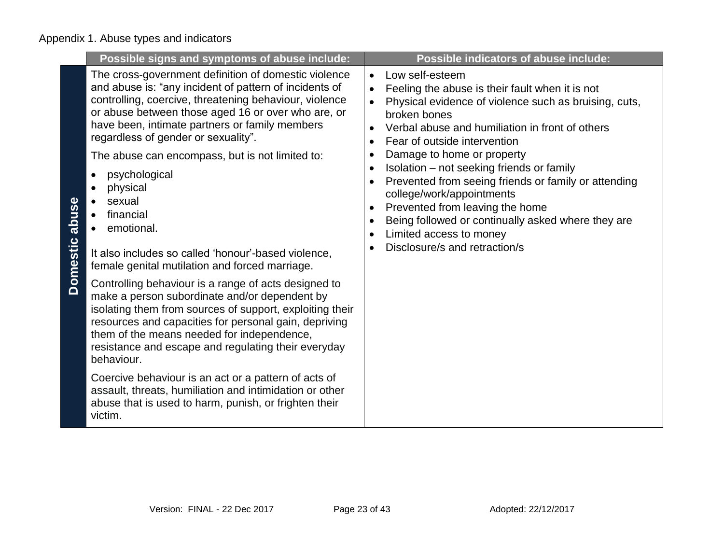|                          | Possible signs and symptoms of abuse include:                                                                                                                                                                                                                                                                                                                                                                                                                                                                                                                                                                                                                                                                                                                                                                                                                                                                                                                                                                                                                                                 |                                                  | Possible indicators of abuse include:                                                                                                                                                                                                                                                                                                                                                                                                                                                                                                               |
|--------------------------|-----------------------------------------------------------------------------------------------------------------------------------------------------------------------------------------------------------------------------------------------------------------------------------------------------------------------------------------------------------------------------------------------------------------------------------------------------------------------------------------------------------------------------------------------------------------------------------------------------------------------------------------------------------------------------------------------------------------------------------------------------------------------------------------------------------------------------------------------------------------------------------------------------------------------------------------------------------------------------------------------------------------------------------------------------------------------------------------------|--------------------------------------------------|-----------------------------------------------------------------------------------------------------------------------------------------------------------------------------------------------------------------------------------------------------------------------------------------------------------------------------------------------------------------------------------------------------------------------------------------------------------------------------------------------------------------------------------------------------|
| abuse<br><b>Domestic</b> | The cross-government definition of domestic violence<br>and abuse is: "any incident of pattern of incidents of<br>controlling, coercive, threatening behaviour, violence<br>or abuse between those aged 16 or over who are, or<br>have been, intimate partners or family members<br>regardless of gender or sexuality".<br>The abuse can encompass, but is not limited to:<br>psychological<br>physical<br>sexual<br>financial<br>emotional.<br>It also includes so called 'honour'-based violence,<br>female genital mutilation and forced marriage.<br>Controlling behaviour is a range of acts designed to<br>make a person subordinate and/or dependent by<br>isolating them from sources of support, exploiting their<br>resources and capacities for personal gain, depriving<br>them of the means needed for independence,<br>resistance and escape and regulating their everyday<br>behaviour.<br>Coercive behaviour is an act or a pattern of acts of<br>assault, threats, humiliation and intimidation or other<br>abuse that is used to harm, punish, or frighten their<br>victim. | $\bullet$<br>$\bullet$<br>$\bullet$<br>$\bullet$ | Low self-esteem<br>Feeling the abuse is their fault when it is not<br>Physical evidence of violence such as bruising, cuts,<br>broken bones<br>Verbal abuse and humiliation in front of others<br>Fear of outside intervention<br>Damage to home or property<br>Isolation - not seeking friends or family<br>Prevented from seeing friends or family or attending<br>college/work/appointments<br>Prevented from leaving the home<br>Being followed or continually asked where they are<br>Limited access to money<br>Disclosure/s and retraction/s |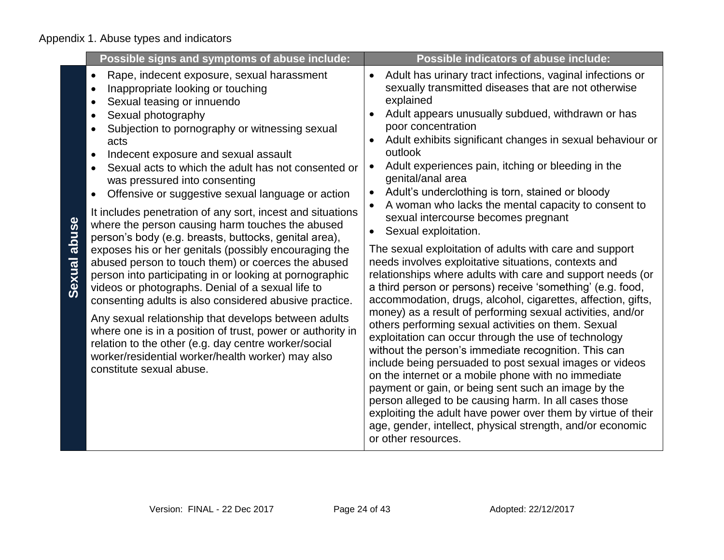|                        | Possible signs and symptoms of abuse include:                                                                                                                                                                                                                                                                                                                                                                                                                                                                                                                                                                                                                                                                                                                                                                                                                                                                                                                                                                                                                                                                                                                             | <b>Possible indicators of abuse include:</b>                                                                                                                                                                                                                                                                                                                                                                                                                                                                                                                                                                                                                                                                                                                                                                                                                                                                                                                                                                                                                                                                                                                                                                                                                                                                                                                                                                                                                                                                                                       |
|------------------------|---------------------------------------------------------------------------------------------------------------------------------------------------------------------------------------------------------------------------------------------------------------------------------------------------------------------------------------------------------------------------------------------------------------------------------------------------------------------------------------------------------------------------------------------------------------------------------------------------------------------------------------------------------------------------------------------------------------------------------------------------------------------------------------------------------------------------------------------------------------------------------------------------------------------------------------------------------------------------------------------------------------------------------------------------------------------------------------------------------------------------------------------------------------------------|----------------------------------------------------------------------------------------------------------------------------------------------------------------------------------------------------------------------------------------------------------------------------------------------------------------------------------------------------------------------------------------------------------------------------------------------------------------------------------------------------------------------------------------------------------------------------------------------------------------------------------------------------------------------------------------------------------------------------------------------------------------------------------------------------------------------------------------------------------------------------------------------------------------------------------------------------------------------------------------------------------------------------------------------------------------------------------------------------------------------------------------------------------------------------------------------------------------------------------------------------------------------------------------------------------------------------------------------------------------------------------------------------------------------------------------------------------------------------------------------------------------------------------------------------|
| abuse<br><b>Sexual</b> | Rape, indecent exposure, sexual harassment<br>$\bullet$<br>Inappropriate looking or touching<br>Sexual teasing or innuendo<br>$\bullet$<br>Sexual photography<br>Subjection to pornography or witnessing sexual<br>acts<br>Indecent exposure and sexual assault<br>$\bullet$<br>Sexual acts to which the adult has not consented or<br>was pressured into consenting<br>Offensive or suggestive sexual language or action<br>$\bullet$<br>It includes penetration of any sort, incest and situations<br>where the person causing harm touches the abused<br>person's body (e.g. breasts, buttocks, genital area),<br>exposes his or her genitals (possibly encouraging the<br>abused person to touch them) or coerces the abused<br>person into participating in or looking at pornographic<br>videos or photographs. Denial of a sexual life to<br>consenting adults is also considered abusive practice.<br>Any sexual relationship that develops between adults<br>where one is in a position of trust, power or authority in<br>relation to the other (e.g. day centre worker/social<br>worker/residential worker/health worker) may also<br>constitute sexual abuse. | Adult has urinary tract infections, vaginal infections or<br>$\bullet$<br>sexually transmitted diseases that are not otherwise<br>explained<br>Adult appears unusually subdued, withdrawn or has<br>poor concentration<br>Adult exhibits significant changes in sexual behaviour or<br>outlook<br>Adult experiences pain, itching or bleeding in the<br>$\bullet$<br>genital/anal area<br>Adult's underclothing is torn, stained or bloody<br>$\bullet$<br>A woman who lacks the mental capacity to consent to<br>$\bullet$<br>sexual intercourse becomes pregnant<br>Sexual exploitation.<br>$\bullet$<br>The sexual exploitation of adults with care and support<br>needs involves exploitative situations, contexts and<br>relationships where adults with care and support needs (or<br>a third person or persons) receive 'something' (e.g. food,<br>accommodation, drugs, alcohol, cigarettes, affection, gifts,<br>money) as a result of performing sexual activities, and/or<br>others performing sexual activities on them. Sexual<br>exploitation can occur through the use of technology<br>without the person's immediate recognition. This can<br>include being persuaded to post sexual images or videos<br>on the internet or a mobile phone with no immediate<br>payment or gain, or being sent such an image by the<br>person alleged to be causing harm. In all cases those<br>exploiting the adult have power over them by virtue of their<br>age, gender, intellect, physical strength, and/or economic<br>or other resources. |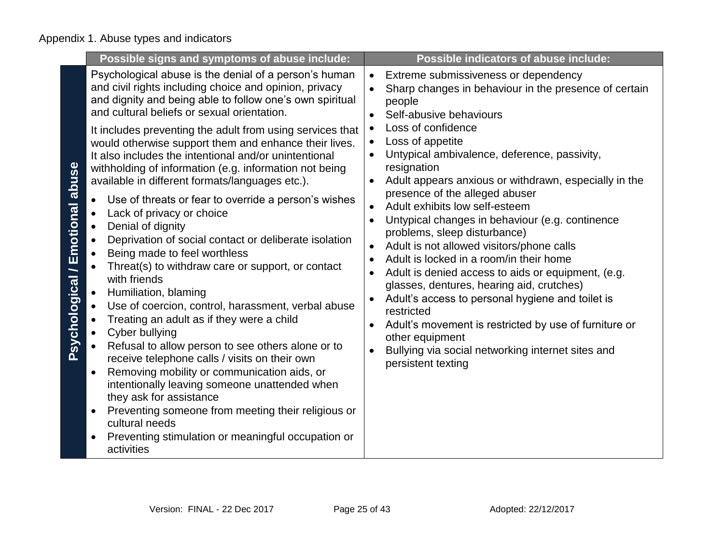|                                 | Possible signs and symptoms of abuse include:                                                                                                                                                                                                                                                                                                                                                                                                                                                                                                                                                                                                                                                                                                                                                                                                                                                                                                                                                                                                                                                                                                                                                                                                                                                                                                      | <b>Possible indicators of abuse include:</b>                                                                                                                                                                                                                                                                                                                                                                                                                                                                                                                                                                                                                                                                                                                                                                                                                                                                                                                                                                                                                          |
|---------------------------------|----------------------------------------------------------------------------------------------------------------------------------------------------------------------------------------------------------------------------------------------------------------------------------------------------------------------------------------------------------------------------------------------------------------------------------------------------------------------------------------------------------------------------------------------------------------------------------------------------------------------------------------------------------------------------------------------------------------------------------------------------------------------------------------------------------------------------------------------------------------------------------------------------------------------------------------------------------------------------------------------------------------------------------------------------------------------------------------------------------------------------------------------------------------------------------------------------------------------------------------------------------------------------------------------------------------------------------------------------|-----------------------------------------------------------------------------------------------------------------------------------------------------------------------------------------------------------------------------------------------------------------------------------------------------------------------------------------------------------------------------------------------------------------------------------------------------------------------------------------------------------------------------------------------------------------------------------------------------------------------------------------------------------------------------------------------------------------------------------------------------------------------------------------------------------------------------------------------------------------------------------------------------------------------------------------------------------------------------------------------------------------------------------------------------------------------|
| Psychological / Emotional abuse | Psychological abuse is the denial of a person's human<br>and civil rights including choice and opinion, privacy<br>and dignity and being able to follow one's own spiritual<br>and cultural beliefs or sexual orientation.<br>It includes preventing the adult from using services that<br>would otherwise support them and enhance their lives.<br>It also includes the intentional and/or unintentional<br>withholding of information (e.g. information not being<br>available in different formats/languages etc.).<br>Use of threats or fear to override a person's wishes<br>Lack of privacy or choice<br>Denial of dignity<br>Deprivation of social contact or deliberate isolation<br>Being made to feel worthless<br>Threat(s) to withdraw care or support, or contact<br>with friends<br>Humiliation, blaming<br>Use of coercion, control, harassment, verbal abuse<br>Treating an adult as if they were a child<br>Cyber bullying<br>Refusal to allow person to see others alone or to<br>receive telephone calls / visits on their own<br>Removing mobility or communication aids, or<br>$\bullet$<br>intentionally leaving someone unattended when<br>they ask for assistance<br>Preventing someone from meeting their religious or<br>$\bullet$<br>cultural needs<br>Preventing stimulation or meaningful occupation or<br>activities | Extreme submissiveness or dependency<br>$\bullet$<br>Sharp changes in behaviour in the presence of certain<br>$\bullet$<br>people<br>Self-abusive behaviours<br>$\bullet$<br>Loss of confidence<br>$\bullet$<br>Loss of appetite<br>$\bullet$<br>Untypical ambivalence, deference, passivity,<br>$\bullet$<br>resignation<br>Adult appears anxious or withdrawn, especially in the<br>$\bullet$<br>presence of the alleged abuser<br>Adult exhibits low self-esteem<br>$\bullet$<br>Untypical changes in behaviour (e.g. continence<br>$\bullet$<br>problems, sleep disturbance)<br>Adult is not allowed visitors/phone calls<br>$\bullet$<br>Adult is locked in a room/in their home<br>$\bullet$<br>Adult is denied access to aids or equipment, (e.g.<br>$\bullet$<br>glasses, dentures, hearing aid, crutches)<br>Adult's access to personal hygiene and toilet is<br>$\bullet$<br>restricted<br>Adult's movement is restricted by use of furniture or<br>$\bullet$<br>other equipment<br>Bullying via social networking internet sites and<br>persistent texting |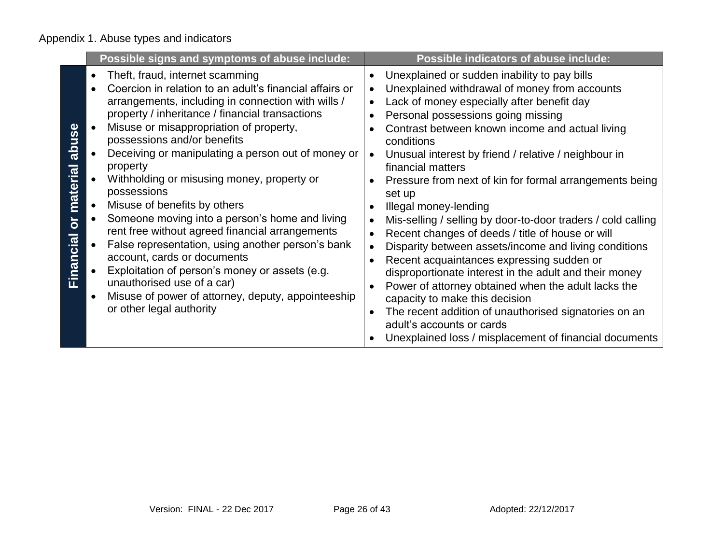|                                                           | Possible signs and symptoms of abuse include:                                                                                                                                                                                                                                                                                                                                                                                                                                                                                                                                                                                                                                                                                                                                                           | <b>Possible indicators of abuse include:</b>                                                                                                                                                                                                                                                                                                                                                                                                                                                                                                                                                                                                                                                                                                                                                                                                                                                                                                                                         |
|-----------------------------------------------------------|---------------------------------------------------------------------------------------------------------------------------------------------------------------------------------------------------------------------------------------------------------------------------------------------------------------------------------------------------------------------------------------------------------------------------------------------------------------------------------------------------------------------------------------------------------------------------------------------------------------------------------------------------------------------------------------------------------------------------------------------------------------------------------------------------------|--------------------------------------------------------------------------------------------------------------------------------------------------------------------------------------------------------------------------------------------------------------------------------------------------------------------------------------------------------------------------------------------------------------------------------------------------------------------------------------------------------------------------------------------------------------------------------------------------------------------------------------------------------------------------------------------------------------------------------------------------------------------------------------------------------------------------------------------------------------------------------------------------------------------------------------------------------------------------------------|
| abuse<br>material<br>$\overline{\mathsf{o}}$<br>Financial | Theft, fraud, internet scamming<br>Coercion in relation to an adult's financial affairs or<br>arrangements, including in connection with wills /<br>property / inheritance / financial transactions<br>Misuse or misappropriation of property,<br>possessions and/or benefits<br>Deceiving or manipulating a person out of money or<br>property<br>Withholding or misusing money, property or<br>possessions<br>Misuse of benefits by others<br>Someone moving into a person's home and living<br>rent free without agreed financial arrangements<br>False representation, using another person's bank<br>account, cards or documents<br>Exploitation of person's money or assets (e.g.<br>unauthorised use of a car)<br>Misuse of power of attorney, deputy, appointeeship<br>or other legal authority | Unexplained or sudden inability to pay bills<br>Unexplained withdrawal of money from accounts<br>Lack of money especially after benefit day<br>$\bullet$<br>Personal possessions going missing<br>Contrast between known income and actual living<br>conditions<br>Unusual interest by friend / relative / neighbour in<br>$\bullet$<br>financial matters<br>Pressure from next of kin for formal arrangements being<br>set up<br>Illegal money-lending<br>Mis-selling / selling by door-to-door traders / cold calling<br>Recent changes of deeds / title of house or will<br>Disparity between assets/income and living conditions<br>Recent acquaintances expressing sudden or<br>disproportionate interest in the adult and their money<br>Power of attorney obtained when the adult lacks the<br>capacity to make this decision<br>The recent addition of unauthorised signatories on an<br>adult's accounts or cards<br>Unexplained loss / misplacement of financial documents |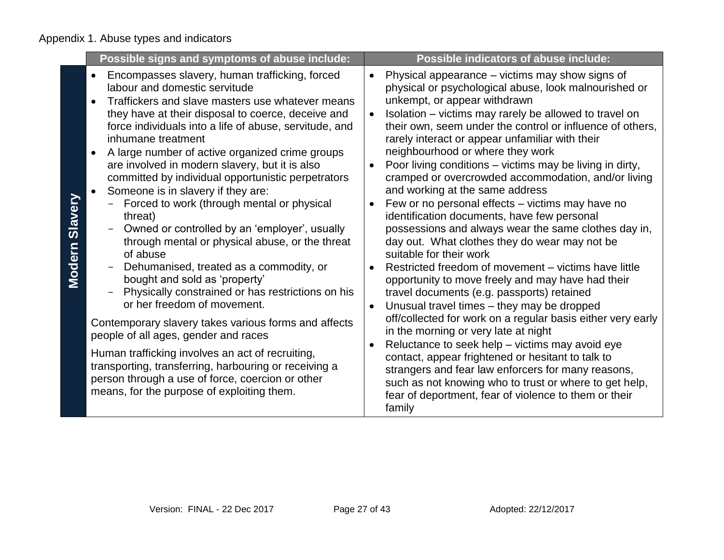|                   | Possible signs and symptoms of abuse include:                                                                                                                                                                                                                                                                                                                                                                                                                                                                                                                                                                                                                                                                                                                                                                                                                                                                                                                                                                                                                                                                                                                               | <b>Possible indicators of abuse include:</b>                                                                                                                                                                                                                                                                                                                                                                                                                                                                                                                                                                                                                                                                                                                                                                                                                                                                                                                                                                                                                                                                                                                                                                                                                                                                                                                                                                                    |
|-------------------|-----------------------------------------------------------------------------------------------------------------------------------------------------------------------------------------------------------------------------------------------------------------------------------------------------------------------------------------------------------------------------------------------------------------------------------------------------------------------------------------------------------------------------------------------------------------------------------------------------------------------------------------------------------------------------------------------------------------------------------------------------------------------------------------------------------------------------------------------------------------------------------------------------------------------------------------------------------------------------------------------------------------------------------------------------------------------------------------------------------------------------------------------------------------------------|---------------------------------------------------------------------------------------------------------------------------------------------------------------------------------------------------------------------------------------------------------------------------------------------------------------------------------------------------------------------------------------------------------------------------------------------------------------------------------------------------------------------------------------------------------------------------------------------------------------------------------------------------------------------------------------------------------------------------------------------------------------------------------------------------------------------------------------------------------------------------------------------------------------------------------------------------------------------------------------------------------------------------------------------------------------------------------------------------------------------------------------------------------------------------------------------------------------------------------------------------------------------------------------------------------------------------------------------------------------------------------------------------------------------------------|
| Slavery<br>Modern | Encompasses slavery, human trafficking, forced<br>labour and domestic servitude<br>Traffickers and slave masters use whatever means<br>they have at their disposal to coerce, deceive and<br>force individuals into a life of abuse, servitude, and<br>inhumane treatment<br>A large number of active organized crime groups<br>$\bullet$<br>are involved in modern slavery, but it is also<br>committed by individual opportunistic perpetrators<br>Someone is in slavery if they are:<br>Forced to work (through mental or physical<br>threat)<br>Owned or controlled by an 'employer', usually<br>$\overline{\phantom{0}}$<br>through mental or physical abuse, or the threat<br>of abuse<br>Dehumanised, treated as a commodity, or<br>bought and sold as 'property'<br>Physically constrained or has restrictions on his<br>or her freedom of movement.<br>Contemporary slavery takes various forms and affects<br>people of all ages, gender and races<br>Human trafficking involves an act of recruiting,<br>transporting, transferring, harbouring or receiving a<br>person through a use of force, coercion or other<br>means, for the purpose of exploiting them. | Physical appearance – victims may show signs of<br>$\bullet$<br>physical or psychological abuse, look malnourished or<br>unkempt, or appear withdrawn<br>Isolation – victims may rarely be allowed to travel on<br>$\bullet$<br>their own, seem under the control or influence of others,<br>rarely interact or appear unfamiliar with their<br>neighbourhood or where they work<br>Poor living conditions – victims may be living in dirty,<br>$\bullet$<br>cramped or overcrowded accommodation, and/or living<br>and working at the same address<br>Few or no personal effects – victims may have no<br>$\bullet$<br>identification documents, have few personal<br>possessions and always wear the same clothes day in,<br>day out. What clothes they do wear may not be<br>suitable for their work<br>Restricted freedom of movement – victims have little<br>opportunity to move freely and may have had their<br>travel documents (e.g. passports) retained<br>Unusual travel times - they may be dropped<br>$\bullet$<br>off/collected for work on a regular basis either very early<br>in the morning or very late at night<br>Reluctance to seek help - victims may avoid eye<br>contact, appear frightened or hesitant to talk to<br>strangers and fear law enforcers for many reasons,<br>such as not knowing who to trust or where to get help,<br>fear of deportment, fear of violence to them or their<br>family |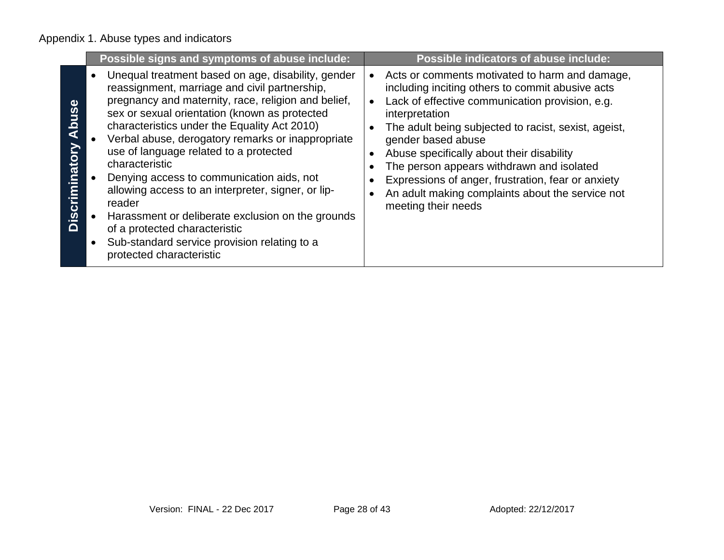|                         | Possible signs and symptoms of abuse include:                                                                                                                                                                                                                                                                                                                                                                                                                                                                                                                                                                                                               | Possible indicators of abuse include:                                                                                                                                                                                                                                                                                                                                                                                                                                                                           |
|-------------------------|-------------------------------------------------------------------------------------------------------------------------------------------------------------------------------------------------------------------------------------------------------------------------------------------------------------------------------------------------------------------------------------------------------------------------------------------------------------------------------------------------------------------------------------------------------------------------------------------------------------------------------------------------------------|-----------------------------------------------------------------------------------------------------------------------------------------------------------------------------------------------------------------------------------------------------------------------------------------------------------------------------------------------------------------------------------------------------------------------------------------------------------------------------------------------------------------|
| Abuse<br>Discriminatory | Unequal treatment based on age, disability, gender<br>reassignment, marriage and civil partnership,<br>pregnancy and maternity, race, religion and belief,<br>sex or sexual orientation (known as protected<br>characteristics under the Equality Act 2010)<br>Verbal abuse, derogatory remarks or inappropriate<br>use of language related to a protected<br>characteristic<br>Denying access to communication aids, not<br>allowing access to an interpreter, signer, or lip-<br>reader<br>Harassment or deliberate exclusion on the grounds<br>of a protected characteristic<br>Sub-standard service provision relating to a<br>protected characteristic | Acts or comments motivated to harm and damage,<br>$\bullet$<br>including inciting others to commit abusive acts<br>Lack of effective communication provision, e.g.<br>$\bullet$<br>interpretation<br>The adult being subjected to racist, sexist, ageist,<br>gender based abuse<br>Abuse specifically about their disability<br>٠<br>The person appears withdrawn and isolated<br>Expressions of anger, frustration, fear or anxiety<br>An adult making complaints about the service not<br>meeting their needs |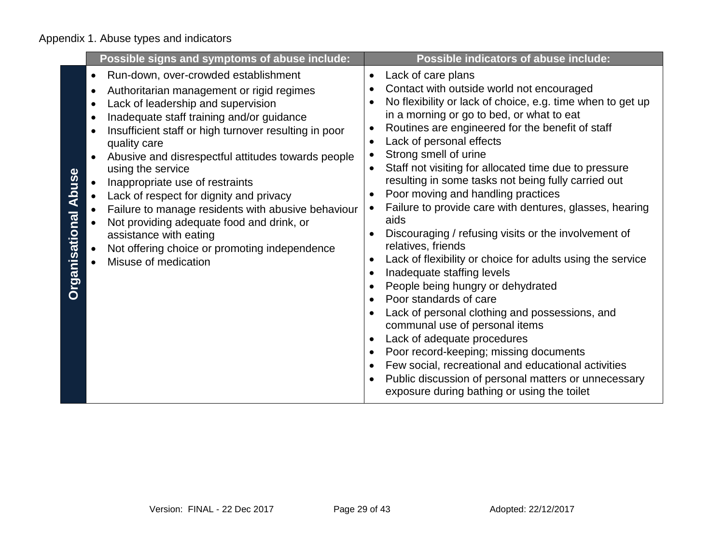|                                                                         | Possible signs and symptoms of abuse include:                                                                                                                                                                                                                                                                                                                                                                                                                                                                                                                                                                | <b>Possible indicators of abuse include:</b>                                                                                                                                                                                                                                                                                                                                                                                                                                                                                                                                                                                                                                                                                                                                                                                                                                                                                                                                                                                                                                                                                                                   |
|-------------------------------------------------------------------------|--------------------------------------------------------------------------------------------------------------------------------------------------------------------------------------------------------------------------------------------------------------------------------------------------------------------------------------------------------------------------------------------------------------------------------------------------------------------------------------------------------------------------------------------------------------------------------------------------------------|----------------------------------------------------------------------------------------------------------------------------------------------------------------------------------------------------------------------------------------------------------------------------------------------------------------------------------------------------------------------------------------------------------------------------------------------------------------------------------------------------------------------------------------------------------------------------------------------------------------------------------------------------------------------------------------------------------------------------------------------------------------------------------------------------------------------------------------------------------------------------------------------------------------------------------------------------------------------------------------------------------------------------------------------------------------------------------------------------------------------------------------------------------------|
| $\bullet$<br>٠<br>$\bullet$<br>$\bullet$<br><b>Organisational Abuse</b> | Run-down, over-crowded establishment<br>Authoritarian management or rigid regimes<br>Lack of leadership and supervision<br>Inadequate staff training and/or guidance<br>Insufficient staff or high turnover resulting in poor<br>quality care<br>Abusive and disrespectful attitudes towards people<br>using the service<br>Inappropriate use of restraints<br>Lack of respect for dignity and privacy<br>Failure to manage residents with abusive behaviour<br>Not providing adequate food and drink, or<br>assistance with eating<br>Not offering choice or promoting independence<br>Misuse of medication | Lack of care plans<br>$\bullet$<br>Contact with outside world not encouraged<br>No flexibility or lack of choice, e.g. time when to get up<br>in a morning or go to bed, or what to eat<br>Routines are engineered for the benefit of staff<br>$\bullet$<br>Lack of personal effects<br>$\bullet$<br>Strong smell of urine<br>$\bullet$<br>Staff not visiting for allocated time due to pressure<br>resulting in some tasks not being fully carried out<br>Poor moving and handling practices<br>Failure to provide care with dentures, glasses, hearing<br>aids<br>Discouraging / refusing visits or the involvement of<br>relatives, friends<br>Lack of flexibility or choice for adults using the service<br>$\bullet$<br>Inadequate staffing levels<br>People being hungry or dehydrated<br>Poor standards of care<br>Lack of personal clothing and possessions, and<br>communal use of personal items<br>Lack of adequate procedures<br>$\bullet$<br>Poor record-keeping; missing documents<br>Few social, recreational and educational activities<br>Public discussion of personal matters or unnecessary<br>exposure during bathing or using the toilet |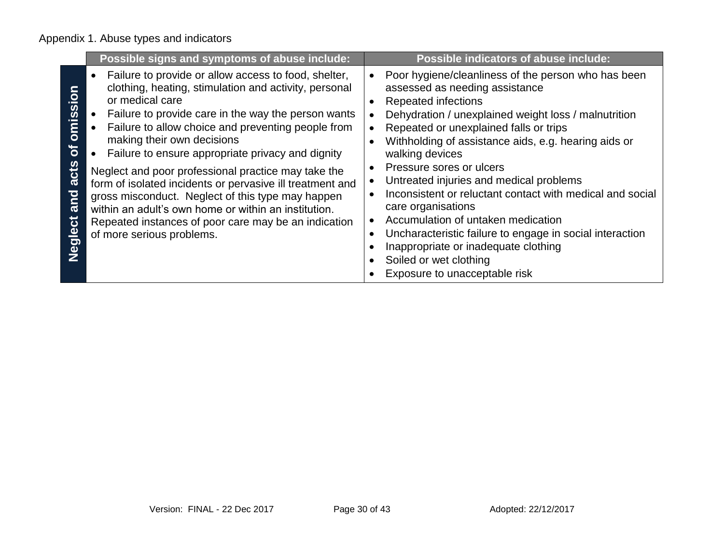|                                                             | Possible signs and symptoms of abuse include:                                                                                                                                                                                                                                                                                                                                                                                                                                                                                                                                                                                                            | Possible indicators of abuse include:                                                                                                                                                                                                                                                                                                                                                                                                                                                                                                                                                                                                                           |
|-------------------------------------------------------------|----------------------------------------------------------------------------------------------------------------------------------------------------------------------------------------------------------------------------------------------------------------------------------------------------------------------------------------------------------------------------------------------------------------------------------------------------------------------------------------------------------------------------------------------------------------------------------------------------------------------------------------------------------|-----------------------------------------------------------------------------------------------------------------------------------------------------------------------------------------------------------------------------------------------------------------------------------------------------------------------------------------------------------------------------------------------------------------------------------------------------------------------------------------------------------------------------------------------------------------------------------------------------------------------------------------------------------------|
| omissio<br>$\overline{\mathbf{b}}$<br>acts<br>and<br>eglect | Failure to provide or allow access to food, shelter,<br>clothing, heating, stimulation and activity, personal<br>or medical care<br>Failure to provide care in the way the person wants<br>Failure to allow choice and preventing people from<br>making their own decisions<br>• Failure to ensure appropriate privacy and dignity<br>Neglect and poor professional practice may take the<br>form of isolated incidents or pervasive ill treatment and<br>gross misconduct. Neglect of this type may happen<br>within an adult's own home or within an institution.<br>Repeated instances of poor care may be an indication<br>of more serious problems. | Poor hygiene/cleanliness of the person who has been<br>assessed as needing assistance<br><b>Repeated infections</b><br>Dehydration / unexplained weight loss / malnutrition<br>Repeated or unexplained falls or trips<br>Withholding of assistance aids, e.g. hearing aids or<br>walking devices<br>Pressure sores or ulcers<br>Untreated injuries and medical problems<br>Inconsistent or reluctant contact with medical and social<br>care organisations<br>Accumulation of untaken medication<br>Uncharacteristic failure to engage in social interaction<br>Inappropriate or inadequate clothing<br>Soiled or wet clothing<br>Exposure to unacceptable risk |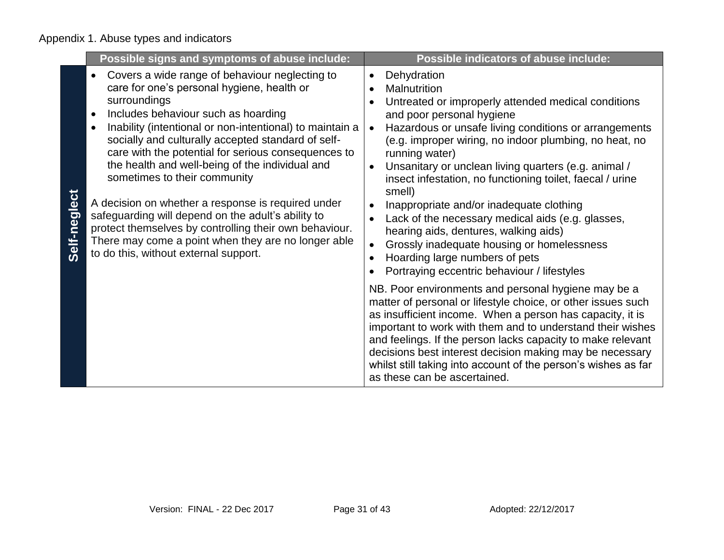|              | Possible signs and symptoms of abuse include:                                                                                                                                                                                                                                                                                                                                                                                                                                                                                                                                                                                                                                         | Possible indicators of abuse include:                                                                                                                                                                                                                                                                                                                                                                                                                                                                                                                                                                                                                                                                                                      |
|--------------|---------------------------------------------------------------------------------------------------------------------------------------------------------------------------------------------------------------------------------------------------------------------------------------------------------------------------------------------------------------------------------------------------------------------------------------------------------------------------------------------------------------------------------------------------------------------------------------------------------------------------------------------------------------------------------------|--------------------------------------------------------------------------------------------------------------------------------------------------------------------------------------------------------------------------------------------------------------------------------------------------------------------------------------------------------------------------------------------------------------------------------------------------------------------------------------------------------------------------------------------------------------------------------------------------------------------------------------------------------------------------------------------------------------------------------------------|
| Self-neglect | Covers a wide range of behaviour neglecting to<br>care for one's personal hygiene, health or<br>surroundings<br>Includes behaviour such as hoarding<br>Inability (intentional or non-intentional) to maintain a<br>socially and culturally accepted standard of self-<br>care with the potential for serious consequences to<br>the health and well-being of the individual and<br>sometimes to their community<br>A decision on whether a response is required under<br>safeguarding will depend on the adult's ability to<br>protect themselves by controlling their own behaviour.<br>There may come a point when they are no longer able<br>to do this, without external support. | Dehydration<br>$\bullet$<br>Malnutrition<br>$\bullet$<br>Untreated or improperly attended medical conditions<br>and poor personal hygiene<br>Hazardous or unsafe living conditions or arrangements<br>$\bullet$<br>(e.g. improper wiring, no indoor plumbing, no heat, no<br>running water)<br>Unsanitary or unclean living quarters (e.g. animal /<br>insect infestation, no functioning toilet, faecal / urine<br>smell)<br>Inappropriate and/or inadequate clothing<br>Lack of the necessary medical aids (e.g. glasses,<br>$\bullet$<br>hearing aids, dentures, walking aids)<br>Grossly inadequate housing or homelessness<br>$\bullet$<br>Hoarding large numbers of pets<br>$\bullet$<br>Portraying eccentric behaviour / lifestyles |
|              |                                                                                                                                                                                                                                                                                                                                                                                                                                                                                                                                                                                                                                                                                       | NB. Poor environments and personal hygiene may be a<br>matter of personal or lifestyle choice, or other issues such<br>as insufficient income. When a person has capacity, it is<br>important to work with them and to understand their wishes<br>and feelings. If the person lacks capacity to make relevant<br>decisions best interest decision making may be necessary<br>whilst still taking into account of the person's wishes as far<br>as these can be ascertained.                                                                                                                                                                                                                                                                |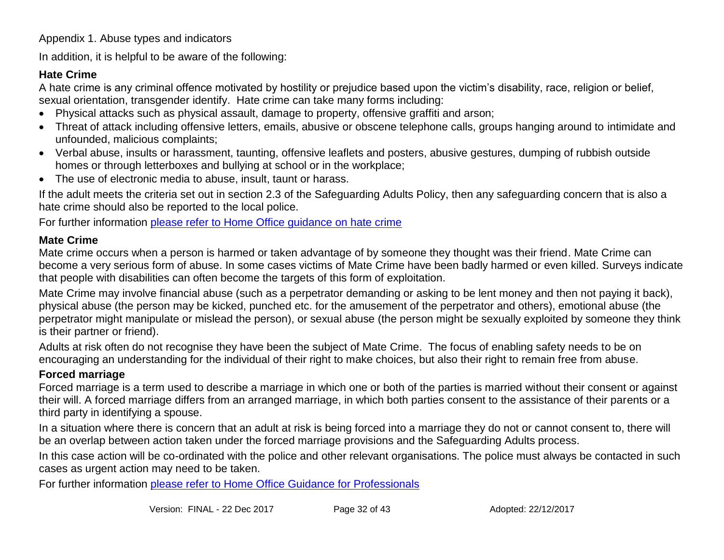In addition, it is helpful to be aware of the following:

### **Hate Crime**

A hate crime is any criminal offence motivated by hostility or prejudice based upon the victim's disability, race, religion or belief, sexual orientation, transgender identify. Hate crime can take many forms including:

- Physical attacks such as physical assault, damage to property, offensive graffiti and arson;
- Threat of attack including offensive letters, emails, abusive or obscene telephone calls, groups hanging around to intimidate and unfounded, malicious complaints;
- Verbal abuse, insults or harassment, taunting, offensive leaflets and posters, abusive gestures, dumping of rubbish outside homes or through letterboxes and bullying at school or in the workplace;
- The use of electronic media to abuse, insult, taunt or harass.

If the adult meets the criteria set out in section 2.3 of the Safeguarding Adults Policy, then any safeguarding concern that is also a hate crime should also be reported to the local police.

For further information [please refer to Home Office guidance on hate crime](https://www.gov.uk/government/uploads/system/uploads/attachment_data/file/543679/Action_Against_Hate_-_UK_Government_s_Plan_to_Tackle_Hate_Crime_2016.pdf)

### **Mate Crime**

Mate crime occurs when a person is harmed or taken advantage of by someone they thought was their friend. Mate Crime can become a very serious form of abuse. In some cases victims of Mate Crime have been badly harmed or even killed. Surveys indicate that people with disabilities can often become the targets of this form of exploitation.

Mate Crime may involve financial abuse (such as a perpetrator demanding or asking to be lent money and then not paying it back), physical abuse (the person may be kicked, punched etc. for the amusement of the perpetrator and others), emotional abuse (the perpetrator might manipulate or mislead the person), or sexual abuse (the person might be sexually exploited by someone they think is their partner or friend).

Adults at risk often do not recognise they have been the subject of Mate Crime. The focus of enabling safety needs to be on encouraging an understanding for the individual of their right to make choices, but also their right to remain free from abuse.

### **Forced marriage**

Forced marriage is a term used to describe a marriage in which one or both of the parties is married without their consent or against their will. A forced marriage differs from an arranged marriage, in which both parties consent to the assistance of their parents or a third party in identifying a spouse.

In a situation where there is concern that an adult at risk is being forced into a marriage they do not or cannot consent to, there will be an overlap between action taken under the forced marriage provisions and the Safeguarding Adults process.

In this case action will be co-ordinated with the police and other relevant organisations. The police must always be contacted in such cases as urgent action may need to be taken.

For further information [please refer to Home Office Guidance for Professionals](https://www.gov.uk/guidance/forced-marriage#guidance-for-professionals)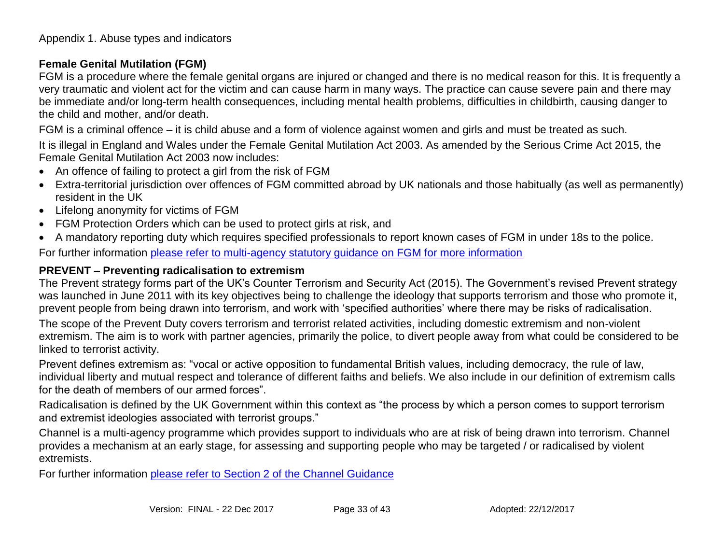### **Female Genital Mutilation (FGM)**

FGM is a procedure where the female genital organs are injured or changed and there is no medical reason for this. It is frequently a very traumatic and violent act for the victim and can cause harm in many ways. The practice can cause severe pain and there may be immediate and/or long-term health consequences, including mental health problems, difficulties in childbirth, causing danger to the child and mother, and/or death.

FGM is a criminal offence – it is child abuse and a form of violence against women and girls and must be treated as such.

It is illegal in England and Wales under the Female Genital Mutilation Act 2003. As amended by the Serious Crime Act 2015, the Female Genital Mutilation Act 2003 now includes:

- An offence of failing to protect a girl from the risk of FGM
- Extra-territorial jurisdiction over offences of FGM committed abroad by UK nationals and those habitually (as well as permanently) resident in the UK
- Lifelong anonymity for victims of FGM
- FGM Protection Orders which can be used to protect girls at risk, and
- A mandatory reporting duty which requires specified professionals to report known cases of FGM in under 18s to the police.

For further information please refer to [multi-agency statutory guidance on FGM for more information](https://www.gov.uk/government/publications/multi-agency-statutory-guidance-on-female-genital-mutilation)

### **PREVENT – Preventing radicalisation to extremism**

The Prevent strategy forms part of the UK's Counter Terrorism and Security Act (2015). The Government's revised Prevent strategy was launched in June 2011 with its key objectives being to challenge the ideology that supports terrorism and those who promote it, prevent people from being drawn into terrorism, and work with 'specified authorities' where there may be risks of radicalisation.

The scope of the Prevent Duty covers terrorism and terrorist related activities, including domestic extremism and non-violent extremism. The aim is to work with partner agencies, primarily the police, to divert people away from what could be considered to be linked to terrorist activity.

Prevent defines extremism as: "vocal or active opposition to fundamental British values, including democracy, the rule of law, individual liberty and mutual respect and tolerance of different faiths and beliefs. We also include in our definition of extremism calls for the death of members of our armed forces".

Radicalisation is defined by the UK Government within this context as "the process by which a person comes to support terrorism and extremist ideologies associated with terrorist groups."

Channel is a multi-agency programme which provides support to individuals who are at risk of being drawn into terrorism. Channel provides a mechanism at an early stage, for assessing and supporting people who may be targeted / or radicalised by violent extremists.

For further information please refer [to Section 2 of the Channel Guidance](https://www.gov.uk/government/publications/channel-guidance)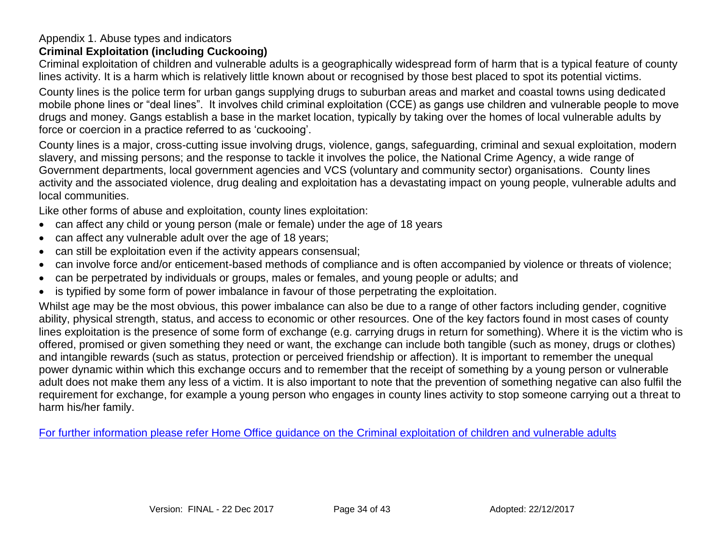### **Criminal Exploitation (including Cuckooing)**

Criminal exploitation of children and vulnerable adults is a geographically widespread form of harm that is a typical feature of county lines activity. It is a harm which is relatively little known about or recognised by those best placed to spot its potential victims.

County lines is the police term for urban gangs supplying drugs to suburban areas and market and coastal towns using dedicated mobile phone lines or "deal lines". It involves child criminal exploitation (CCE) as gangs use children and vulnerable people to move drugs and money. Gangs establish a base in the market location, typically by taking over the homes of local vulnerable adults by force or coercion in a practice referred to as 'cuckooing'.

County lines is a major, cross-cutting issue involving drugs, violence, gangs, safeguarding, criminal and sexual exploitation, modern slavery, and missing persons; and the response to tackle it involves the police, the National Crime Agency, a wide range of Government departments, local government agencies and VCS (voluntary and community sector) organisations. County lines activity and the associated violence, drug dealing and exploitation has a devastating impact on young people, vulnerable adults and local communities.

Like other forms of abuse and exploitation, county lines exploitation:

- can affect any child or young person (male or female) under the age of 18 years
- can affect any vulnerable adult over the age of 18 years;
- can still be exploitation even if the activity appears consensual;
- can involve force and/or enticement-based methods of compliance and is often accompanied by violence or threats of violence;
- can be perpetrated by individuals or groups, males or females, and young people or adults; and
- is typified by some form of power imbalance in favour of those perpetrating the exploitation.

Whilst age may be the most obvious, this power imbalance can also be due to a range of other factors including gender, cognitive ability, physical strength, status, and access to economic or other resources. One of the key factors found in most cases of county lines exploitation is the presence of some form of exchange (e.g. carrying drugs in return for something). Where it is the victim who is offered, promised or given something they need or want, the exchange can include both tangible (such as money, drugs or clothes) and intangible rewards (such as status, protection or perceived friendship or affection). It is important to remember the unequal power dynamic within which this exchange occurs and to remember that the receipt of something by a young person or vulnerable adult does not make them any less of a victim. It is also important to note that the prevention of something negative can also fulfil the requirement for exchange, for example a young person who engages in county lines activity to stop someone carrying out a threat to harm his/her family.

[For further information please refer Home Office guidance on the Criminal exploitation of children and vulnerable adults](https://www.gov.uk/government/publications/criminal-exploitation-of-children-and-vulnerable-adults-county-lines)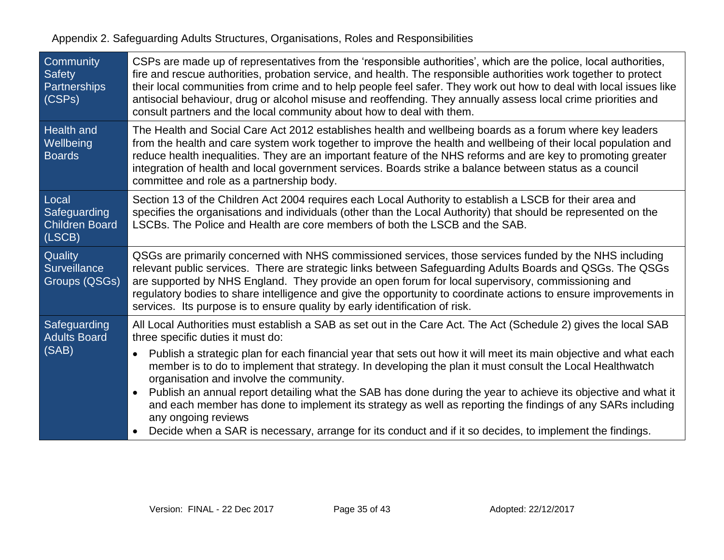| Community<br><b>Safety</b><br>Partnerships<br>(CSPs)     | CSPs are made up of representatives from the 'responsible authorities', which are the police, local authorities,<br>fire and rescue authorities, probation service, and health. The responsible authorities work together to protect<br>their local communities from crime and to help people feel safer. They work out how to deal with local issues like<br>antisocial behaviour, drug or alcohol misuse and reoffending. They annually assess local crime priorities and<br>consult partners and the local community about how to deal with them. |
|----------------------------------------------------------|------------------------------------------------------------------------------------------------------------------------------------------------------------------------------------------------------------------------------------------------------------------------------------------------------------------------------------------------------------------------------------------------------------------------------------------------------------------------------------------------------------------------------------------------------|
| <b>Health and</b><br>Wellbeing<br><b>Boards</b>          | The Health and Social Care Act 2012 establishes health and wellbeing boards as a forum where key leaders<br>from the health and care system work together to improve the health and wellbeing of their local population and<br>reduce health inequalities. They are an important feature of the NHS reforms and are key to promoting greater<br>integration of health and local government services. Boards strike a balance between status as a council<br>committee and role as a partnership body.                                                |
| Local<br>Safeguarding<br><b>Children Board</b><br>(LSCB) | Section 13 of the Children Act 2004 requires each Local Authority to establish a LSCB for their area and<br>specifies the organisations and individuals (other than the Local Authority) that should be represented on the<br>LSCBs. The Police and Health are core members of both the LSCB and the SAB.                                                                                                                                                                                                                                            |
| Quality<br><b>Surveillance</b><br>Groups (QSGs)          | QSGs are primarily concerned with NHS commissioned services, those services funded by the NHS including<br>relevant public services. There are strategic links between Safeguarding Adults Boards and QSGs. The QSGs<br>are supported by NHS England. They provide an open forum for local supervisory, commissioning and<br>regulatory bodies to share intelligence and give the opportunity to coordinate actions to ensure improvements in<br>services. Its purpose is to ensure quality by early identification of risk.                         |
| Safeguarding<br><b>Adults Board</b>                      | All Local Authorities must establish a SAB as set out in the Care Act. The Act (Schedule 2) gives the local SAB<br>three specific duties it must do:                                                                                                                                                                                                                                                                                                                                                                                                 |
| (SAB)                                                    | Publish a strategic plan for each financial year that sets out how it will meet its main objective and what each<br>$\bullet$<br>member is to do to implement that strategy. In developing the plan it must consult the Local Healthwatch<br>organisation and involve the community.<br>Publish an annual report detailing what the SAB has done during the year to achieve its objective and what it<br>and each member has done to implement its strategy as well as reporting the findings of any SARs including<br>any ongoing reviews           |
|                                                          | Decide when a SAR is necessary, arrange for its conduct and if it so decides, to implement the findings.<br>$\bullet$                                                                                                                                                                                                                                                                                                                                                                                                                                |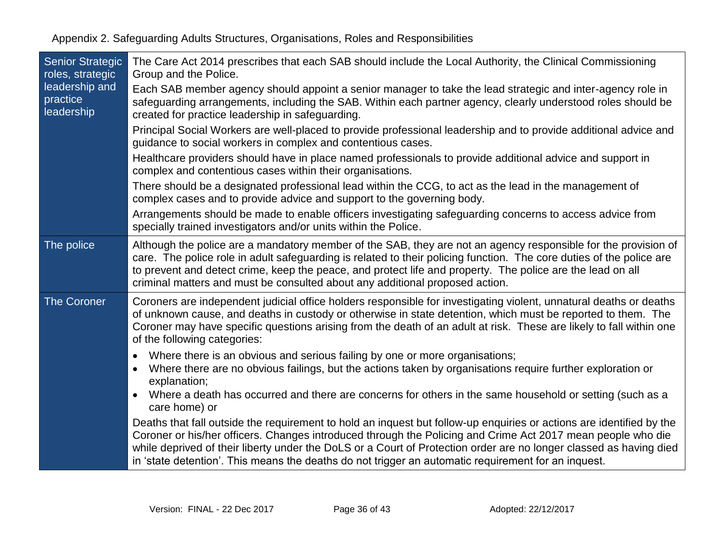| <b>Senior Strategic</b><br>roles, strategic | The Care Act 2014 prescribes that each SAB should include the Local Authority, the Clinical Commissioning<br>Group and the Police.                                                                                                                                                                                                                                                                                                                               |
|---------------------------------------------|------------------------------------------------------------------------------------------------------------------------------------------------------------------------------------------------------------------------------------------------------------------------------------------------------------------------------------------------------------------------------------------------------------------------------------------------------------------|
| leadership and<br>practice<br>leadership    | Each SAB member agency should appoint a senior manager to take the lead strategic and inter-agency role in<br>safeguarding arrangements, including the SAB. Within each partner agency, clearly understood roles should be<br>created for practice leadership in safeguarding.                                                                                                                                                                                   |
|                                             | Principal Social Workers are well-placed to provide professional leadership and to provide additional advice and<br>guidance to social workers in complex and contentious cases.                                                                                                                                                                                                                                                                                 |
|                                             | Healthcare providers should have in place named professionals to provide additional advice and support in<br>complex and contentious cases within their organisations.                                                                                                                                                                                                                                                                                           |
|                                             | There should be a designated professional lead within the CCG, to act as the lead in the management of<br>complex cases and to provide advice and support to the governing body.                                                                                                                                                                                                                                                                                 |
|                                             | Arrangements should be made to enable officers investigating safeguarding concerns to access advice from<br>specially trained investigators and/or units within the Police.                                                                                                                                                                                                                                                                                      |
| The police                                  | Although the police are a mandatory member of the SAB, they are not an agency responsible for the provision of<br>care. The police role in adult safeguarding is related to their policing function. The core duties of the police are<br>to prevent and detect crime, keep the peace, and protect life and property. The police are the lead on all<br>criminal matters and must be consulted about any additional proposed action.                             |
| <b>The Coroner</b>                          | Coroners are independent judicial office holders responsible for investigating violent, unnatural deaths or deaths<br>of unknown cause, and deaths in custody or otherwise in state detention, which must be reported to them. The<br>Coroner may have specific questions arising from the death of an adult at risk. These are likely to fall within one<br>of the following categories:                                                                        |
|                                             | Where there is an obvious and serious failing by one or more organisations;<br>$\bullet$<br>Where there are no obvious failings, but the actions taken by organisations require further exploration or<br>$\bullet$<br>explanation;                                                                                                                                                                                                                              |
|                                             | Where a death has occurred and there are concerns for others in the same household or setting (such as a<br>care home) or                                                                                                                                                                                                                                                                                                                                        |
|                                             | Deaths that fall outside the requirement to hold an inquest but follow-up enquiries or actions are identified by the<br>Coroner or his/her officers. Changes introduced through the Policing and Crime Act 2017 mean people who die<br>while deprived of their liberty under the DoLS or a Court of Protection order are no longer classed as having died<br>in 'state detention'. This means the deaths do not trigger an automatic requirement for an inquest. |
|                                             |                                                                                                                                                                                                                                                                                                                                                                                                                                                                  |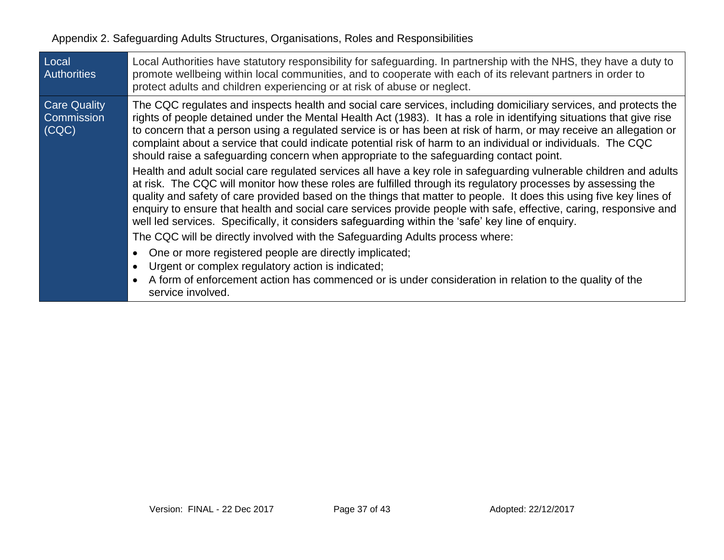| Local<br><b>Authorities</b>                | Local Authorities have statutory responsibility for safeguarding. In partnership with the NHS, they have a duty to<br>promote wellbeing within local communities, and to cooperate with each of its relevant partners in order to<br>protect adults and children experiencing or at risk of abuse or neglect.                                                                                                                                                                                                                                                                         |
|--------------------------------------------|---------------------------------------------------------------------------------------------------------------------------------------------------------------------------------------------------------------------------------------------------------------------------------------------------------------------------------------------------------------------------------------------------------------------------------------------------------------------------------------------------------------------------------------------------------------------------------------|
| <b>Care Quality</b><br>Commission<br>(CQC) | The CQC regulates and inspects health and social care services, including domiciliary services, and protects the<br>rights of people detained under the Mental Health Act (1983). It has a role in identifying situations that give rise<br>to concern that a person using a regulated service is or has been at risk of harm, or may receive an allegation or<br>complaint about a service that could indicate potential risk of harm to an individual or individuals. The CQC<br>should raise a safeguarding concern when appropriate to the safeguarding contact point.            |
|                                            | Health and adult social care regulated services all have a key role in safeguarding vulnerable children and adults<br>at risk. The CQC will monitor how these roles are fulfilled through its regulatory processes by assessing the<br>quality and safety of care provided based on the things that matter to people. It does this using five key lines of<br>enquiry to ensure that health and social care services provide people with safe, effective, caring, responsive and<br>well led services. Specifically, it considers safeguarding within the 'safe' key line of enquiry. |
|                                            | The CQC will be directly involved with the Safeguarding Adults process where:                                                                                                                                                                                                                                                                                                                                                                                                                                                                                                         |
|                                            | One or more registered people are directly implicated;<br>Urgent or complex regulatory action is indicated;<br>A form of enforcement action has commenced or is under consideration in relation to the quality of the<br>service involved.                                                                                                                                                                                                                                                                                                                                            |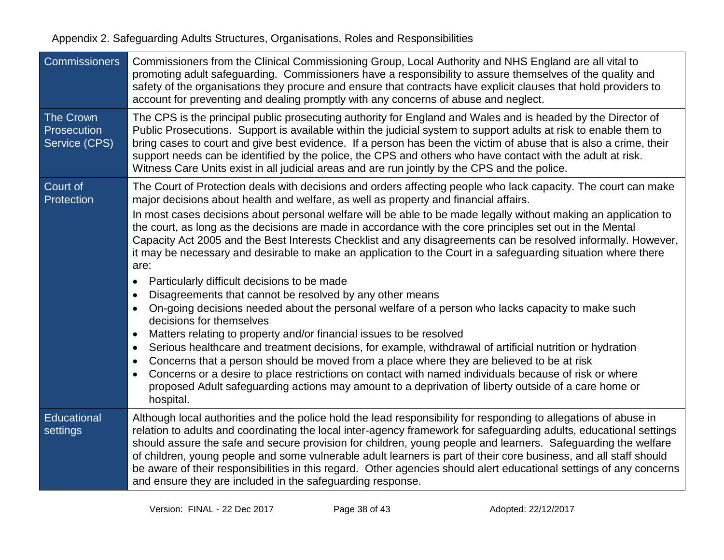| <b>Commissioners</b>                      | Commissioners from the Clinical Commissioning Group, Local Authority and NHS England are all vital to<br>promoting adult safeguarding. Commissioners have a responsibility to assure themselves of the quality and<br>safety of the organisations they procure and ensure that contracts have explicit clauses that hold providers to<br>account for preventing and dealing promptly with any concerns of abuse and neglect.                                                                                                                                                                                                                                                                                                                                                                                                                                                                                                                                                                                                                                                                                                                          |
|-------------------------------------------|-------------------------------------------------------------------------------------------------------------------------------------------------------------------------------------------------------------------------------------------------------------------------------------------------------------------------------------------------------------------------------------------------------------------------------------------------------------------------------------------------------------------------------------------------------------------------------------------------------------------------------------------------------------------------------------------------------------------------------------------------------------------------------------------------------------------------------------------------------------------------------------------------------------------------------------------------------------------------------------------------------------------------------------------------------------------------------------------------------------------------------------------------------|
| The Crown<br>Prosecution<br>Service (CPS) | The CPS is the principal public prosecuting authority for England and Wales and is headed by the Director of<br>Public Prosecutions. Support is available within the judicial system to support adults at risk to enable them to<br>bring cases to court and give best evidence. If a person has been the victim of abuse that is also a crime, their<br>support needs can be identified by the police, the CPS and others who have contact with the adult at risk.<br>Witness Care Units exist in all judicial areas and are run jointly by the CPS and the police.                                                                                                                                                                                                                                                                                                                                                                                                                                                                                                                                                                                  |
| Court of<br>Protection                    | The Court of Protection deals with decisions and orders affecting people who lack capacity. The court can make<br>major decisions about health and welfare, as well as property and financial affairs.<br>In most cases decisions about personal welfare will be able to be made legally without making an application to<br>the court, as long as the decisions are made in accordance with the core principles set out in the Mental<br>Capacity Act 2005 and the Best Interests Checklist and any disagreements can be resolved informally. However,<br>it may be necessary and desirable to make an application to the Court in a safeguarding situation where there<br>are:<br>Particularly difficult decisions to be made<br>$\bullet$<br>Disagreements that cannot be resolved by any other means<br>On-going decisions needed about the personal welfare of a person who lacks capacity to make such<br>decisions for themselves<br>Matters relating to property and/or financial issues to be resolved<br>$\bullet$<br>Serious healthcare and treatment decisions, for example, withdrawal of artificial nutrition or hydration<br>$\bullet$ |
|                                           | Concerns that a person should be moved from a place where they are believed to be at risk<br>Concerns or a desire to place restrictions on contact with named individuals because of risk or where<br>$\bullet$<br>proposed Adult safeguarding actions may amount to a deprivation of liberty outside of a care home or<br>hospital.                                                                                                                                                                                                                                                                                                                                                                                                                                                                                                                                                                                                                                                                                                                                                                                                                  |
| Educational<br>settings                   | Although local authorities and the police hold the lead responsibility for responding to allegations of abuse in<br>relation to adults and coordinating the local inter-agency framework for safeguarding adults, educational settings<br>should assure the safe and secure provision for children, young people and learners. Safeguarding the welfare<br>of children, young people and some vulnerable adult learners is part of their core business, and all staff should<br>be aware of their responsibilities in this regard. Other agencies should alert educational settings of any concerns<br>and ensure they are included in the safeguarding response.                                                                                                                                                                                                                                                                                                                                                                                                                                                                                     |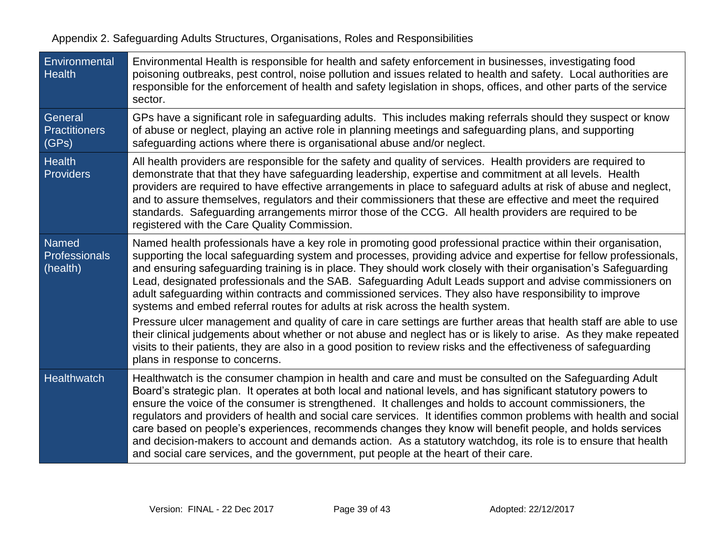| Environmental<br><b>Health</b>                   | Environmental Health is responsible for health and safety enforcement in businesses, investigating food<br>poisoning outbreaks, pest control, noise pollution and issues related to health and safety. Local authorities are<br>responsible for the enforcement of health and safety legislation in shops, offices, and other parts of the service<br>sector.                                                                                                                                                                                                                                                                                                                                                                                                                  |
|--------------------------------------------------|--------------------------------------------------------------------------------------------------------------------------------------------------------------------------------------------------------------------------------------------------------------------------------------------------------------------------------------------------------------------------------------------------------------------------------------------------------------------------------------------------------------------------------------------------------------------------------------------------------------------------------------------------------------------------------------------------------------------------------------------------------------------------------|
| General<br><b>Practitioners</b><br>(GPs)         | GPs have a significant role in safeguarding adults. This includes making referrals should they suspect or know<br>of abuse or neglect, playing an active role in planning meetings and safeguarding plans, and supporting<br>safeguarding actions where there is organisational abuse and/or neglect.                                                                                                                                                                                                                                                                                                                                                                                                                                                                          |
| <b>Health</b><br><b>Providers</b>                | All health providers are responsible for the safety and quality of services. Health providers are required to<br>demonstrate that that they have safeguarding leadership, expertise and commitment at all levels. Health<br>providers are required to have effective arrangements in place to safeguard adults at risk of abuse and neglect,<br>and to assure themselves, regulators and their commissioners that these are effective and meet the required<br>standards. Safeguarding arrangements mirror those of the CCG. All health providers are required to be<br>registered with the Care Quality Commission.                                                                                                                                                           |
| <b>Named</b><br><b>Professionals</b><br>(health) | Named health professionals have a key role in promoting good professional practice within their organisation,<br>supporting the local safeguarding system and processes, providing advice and expertise for fellow professionals,<br>and ensuring safeguarding training is in place. They should work closely with their organisation's Safeguarding<br>Lead, designated professionals and the SAB. Safeguarding Adult Leads support and advise commissioners on<br>adult safeguarding within contracts and commissioned services. They also have responsibility to improve<br>systems and embed referral routes for adults at risk across the health system.                                                                                                                  |
|                                                  | Pressure ulcer management and quality of care in care settings are further areas that health staff are able to use<br>their clinical judgements about whether or not abuse and neglect has or is likely to arise. As they make repeated<br>visits to their patients, they are also in a good position to review risks and the effectiveness of safeguarding<br>plans in response to concerns.                                                                                                                                                                                                                                                                                                                                                                                  |
| Healthwatch                                      | Healthwatch is the consumer champion in health and care and must be consulted on the Safeguarding Adult<br>Board's strategic plan. It operates at both local and national levels, and has significant statutory powers to<br>ensure the voice of the consumer is strengthened. It challenges and holds to account commissioners, the<br>regulators and providers of health and social care services. It identifies common problems with health and social<br>care based on people's experiences, recommends changes they know will benefit people, and holds services<br>and decision-makers to account and demands action. As a statutory watchdog, its role is to ensure that health<br>and social care services, and the government, put people at the heart of their care. |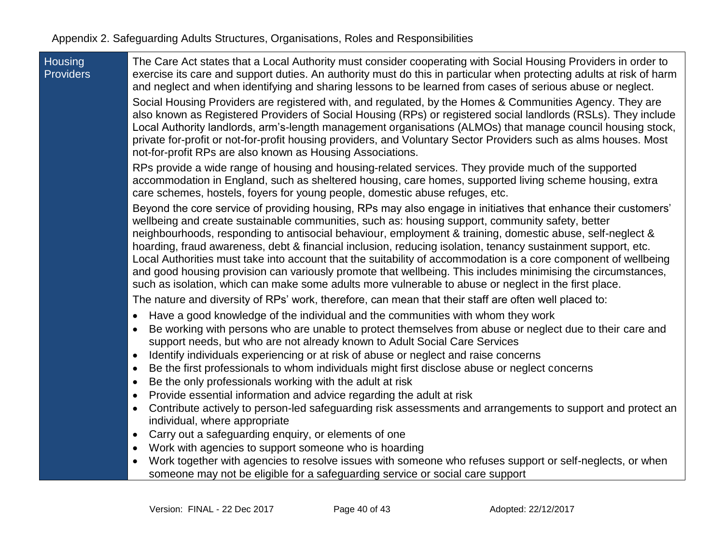| <b>Housing</b>   |
|------------------|
| <b>Providers</b> |

The Care Act states that a Local Authority must consider cooperating with Social Housing Providers in order to exercise its care and support duties. An authority must do this in particular when protecting adults at risk of harm and neglect and when identifying and sharing lessons to be learned from cases of serious abuse or neglect.

Social Housing Providers are registered with, and regulated, by the Homes & Communities Agency. They are also known as Registered Providers of Social Housing (RPs) or registered social landlords (RSLs). They include Local Authority landlords, arm's-length management organisations (ALMOs) that manage council housing stock, private for-profit or not-for-profit housing providers, and Voluntary Sector Providers such as alms houses. Most not-for-profit RPs are also known as Housing Associations.

RPs provide a wide range of housing and housing-related services. They provide much of the supported accommodation in England, such as sheltered housing, care homes, supported living scheme housing, extra care schemes, hostels, foyers for young people, domestic abuse refuges, etc.

Beyond the core service of providing housing, RPs may also engage in initiatives that enhance their customers' wellbeing and create sustainable communities, such as: housing support, community safety, better neighbourhoods, responding to antisocial behaviour, employment & training, domestic abuse, self-neglect & hoarding, fraud awareness, debt & financial inclusion, reducing isolation, tenancy sustainment support, etc. Local Authorities must take into account that the suitability of accommodation is a core component of wellbeing and good housing provision can variously promote that wellbeing. This includes minimising the circumstances, such as isolation, which can make some adults more vulnerable to abuse or neglect in the first place.

The nature and diversity of RPs' work, therefore, can mean that their staff are often well placed to:

- Have a good knowledge of the individual and the communities with whom they work
- Be working with persons who are unable to protect themselves from abuse or neglect due to their care and support needs, but who are not already known to Adult Social Care Services
- Identify individuals experiencing or at risk of abuse or neglect and raise concerns
- Be the first professionals to whom individuals might first disclose abuse or neglect concerns
- Be the only professionals working with the adult at risk
- Provide essential information and advice regarding the adult at risk
- Contribute actively to person-led safeguarding risk assessments and arrangements to support and protect an individual, where appropriate
- Carry out a safeguarding enquiry, or elements of one
- Work with agencies to support someone who is hoarding
- Work together with agencies to resolve issues with someone who refuses support or self-neglects, or when someone may not be eligible for a safeguarding service or social care support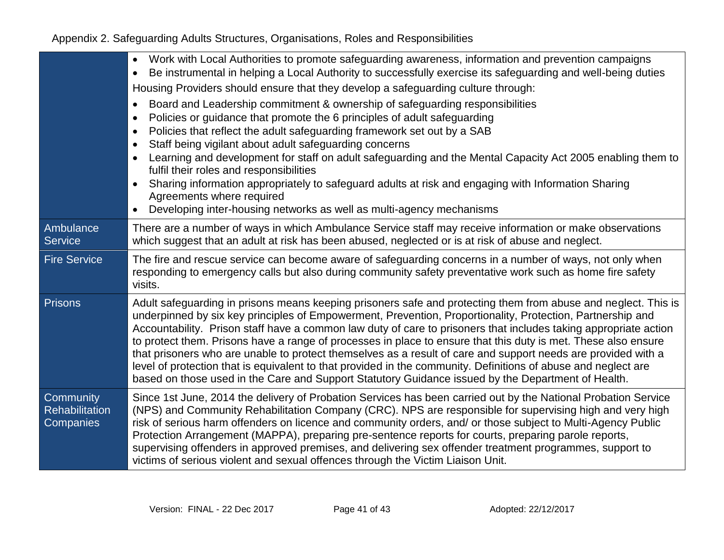|                                                 | Work with Local Authorities to promote safeguarding awareness, information and prevention campaigns<br>$\bullet$<br>Be instrumental in helping a Local Authority to successfully exercise its safeguarding and well-being duties<br>$\bullet$<br>Housing Providers should ensure that they develop a safeguarding culture through:<br>Board and Leadership commitment & ownership of safeguarding responsibilities<br>$\bullet$<br>Policies or guidance that promote the 6 principles of adult safeguarding<br>$\bullet$<br>Policies that reflect the adult safeguarding framework set out by a SAB<br>$\bullet$<br>Staff being vigilant about adult safeguarding concerns<br>$\bullet$<br>Learning and development for staff on adult safeguarding and the Mental Capacity Act 2005 enabling them to<br>$\bullet$<br>fulfil their roles and responsibilities<br>Sharing information appropriately to safeguard adults at risk and engaging with Information Sharing<br>$\bullet$<br>Agreements where required<br>Developing inter-housing networks as well as multi-agency mechanisms<br>$\bullet$ |
|-------------------------------------------------|-----------------------------------------------------------------------------------------------------------------------------------------------------------------------------------------------------------------------------------------------------------------------------------------------------------------------------------------------------------------------------------------------------------------------------------------------------------------------------------------------------------------------------------------------------------------------------------------------------------------------------------------------------------------------------------------------------------------------------------------------------------------------------------------------------------------------------------------------------------------------------------------------------------------------------------------------------------------------------------------------------------------------------------------------------------------------------------------------------|
| Ambulance<br><b>Service</b>                     | There are a number of ways in which Ambulance Service staff may receive information or make observations<br>which suggest that an adult at risk has been abused, neglected or is at risk of abuse and neglect.                                                                                                                                                                                                                                                                                                                                                                                                                                                                                                                                                                                                                                                                                                                                                                                                                                                                                      |
| <b>Fire Service</b>                             | The fire and rescue service can become aware of safeguarding concerns in a number of ways, not only when<br>responding to emergency calls but also during community safety preventative work such as home fire safety<br>visits.                                                                                                                                                                                                                                                                                                                                                                                                                                                                                                                                                                                                                                                                                                                                                                                                                                                                    |
| <b>Prisons</b>                                  | Adult safeguarding in prisons means keeping prisoners safe and protecting them from abuse and neglect. This is<br>underpinned by six key principles of Empowerment, Prevention, Proportionality, Protection, Partnership and<br>Accountability. Prison staff have a common law duty of care to prisoners that includes taking appropriate action<br>to protect them. Prisons have a range of processes in place to ensure that this duty is met. These also ensure<br>that prisoners who are unable to protect themselves as a result of care and support needs are provided with a<br>level of protection that is equivalent to that provided in the community. Definitions of abuse and neglect are<br>based on those used in the Care and Support Statutory Guidance issued by the Department of Health.                                                                                                                                                                                                                                                                                         |
| Community<br><b>Rehabilitation</b><br>Companies | Since 1st June, 2014 the delivery of Probation Services has been carried out by the National Probation Service<br>(NPS) and Community Rehabilitation Company (CRC). NPS are responsible for supervising high and very high<br>risk of serious harm offenders on licence and community orders, and/ or those subject to Multi-Agency Public<br>Protection Arrangement (MAPPA), preparing pre-sentence reports for courts, preparing parole reports,<br>supervising offenders in approved premises, and delivering sex offender treatment programmes, support to<br>victims of serious violent and sexual offences through the Victim Liaison Unit.                                                                                                                                                                                                                                                                                                                                                                                                                                                   |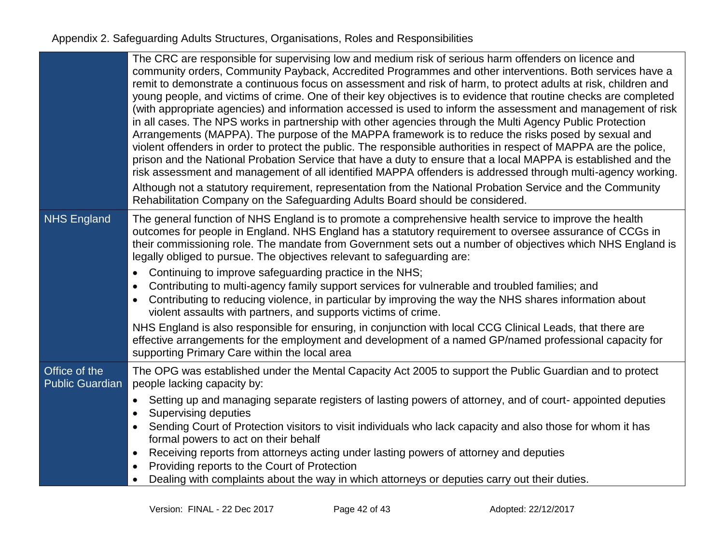|                                         | The CRC are responsible for supervising low and medium risk of serious harm offenders on licence and<br>community orders, Community Payback, Accredited Programmes and other interventions. Both services have a<br>remit to demonstrate a continuous focus on assessment and risk of harm, to protect adults at risk, children and<br>young people, and victims of crime. One of their key objectives is to evidence that routine checks are completed<br>(with appropriate agencies) and information accessed is used to inform the assessment and management of risk<br>in all cases. The NPS works in partnership with other agencies through the Multi Agency Public Protection<br>Arrangements (MAPPA). The purpose of the MAPPA framework is to reduce the risks posed by sexual and<br>violent offenders in order to protect the public. The responsible authorities in respect of MAPPA are the police,<br>prison and the National Probation Service that have a duty to ensure that a local MAPPA is established and the<br>risk assessment and management of all identified MAPPA offenders is addressed through multi-agency working.<br>Although not a statutory requirement, representation from the National Probation Service and the Community<br>Rehabilitation Company on the Safeguarding Adults Board should be considered. |
|-----------------------------------------|--------------------------------------------------------------------------------------------------------------------------------------------------------------------------------------------------------------------------------------------------------------------------------------------------------------------------------------------------------------------------------------------------------------------------------------------------------------------------------------------------------------------------------------------------------------------------------------------------------------------------------------------------------------------------------------------------------------------------------------------------------------------------------------------------------------------------------------------------------------------------------------------------------------------------------------------------------------------------------------------------------------------------------------------------------------------------------------------------------------------------------------------------------------------------------------------------------------------------------------------------------------------------------------------------------------------------------------------------|
| <b>NHS England</b>                      | The general function of NHS England is to promote a comprehensive health service to improve the health<br>outcomes for people in England. NHS England has a statutory requirement to oversee assurance of CCGs in<br>their commissioning role. The mandate from Government sets out a number of objectives which NHS England is<br>legally obliged to pursue. The objectives relevant to safeguarding are:                                                                                                                                                                                                                                                                                                                                                                                                                                                                                                                                                                                                                                                                                                                                                                                                                                                                                                                                       |
|                                         | Continuing to improve safeguarding practice in the NHS;<br>$\bullet$<br>Contributing to multi-agency family support services for vulnerable and troubled families; and<br>٠<br>Contributing to reducing violence, in particular by improving the way the NHS shares information about<br>٠<br>violent assaults with partners, and supports victims of crime.                                                                                                                                                                                                                                                                                                                                                                                                                                                                                                                                                                                                                                                                                                                                                                                                                                                                                                                                                                                     |
|                                         | NHS England is also responsible for ensuring, in conjunction with local CCG Clinical Leads, that there are<br>effective arrangements for the employment and development of a named GP/named professional capacity for<br>supporting Primary Care within the local area                                                                                                                                                                                                                                                                                                                                                                                                                                                                                                                                                                                                                                                                                                                                                                                                                                                                                                                                                                                                                                                                           |
| Office of the<br><b>Public Guardian</b> | The OPG was established under the Mental Capacity Act 2005 to support the Public Guardian and to protect<br>people lacking capacity by:                                                                                                                                                                                                                                                                                                                                                                                                                                                                                                                                                                                                                                                                                                                                                                                                                                                                                                                                                                                                                                                                                                                                                                                                          |
|                                         | Setting up and managing separate registers of lasting powers of attorney, and of court- appointed deputies<br>$\bullet$<br>Supervising deputies<br>$\bullet$                                                                                                                                                                                                                                                                                                                                                                                                                                                                                                                                                                                                                                                                                                                                                                                                                                                                                                                                                                                                                                                                                                                                                                                     |
|                                         | Sending Court of Protection visitors to visit individuals who lack capacity and also those for whom it has<br>$\bullet$<br>formal powers to act on their behalf                                                                                                                                                                                                                                                                                                                                                                                                                                                                                                                                                                                                                                                                                                                                                                                                                                                                                                                                                                                                                                                                                                                                                                                  |
|                                         | Receiving reports from attorneys acting under lasting powers of attorney and deputies<br>٠<br>Providing reports to the Court of Protection<br>$\bullet$                                                                                                                                                                                                                                                                                                                                                                                                                                                                                                                                                                                                                                                                                                                                                                                                                                                                                                                                                                                                                                                                                                                                                                                          |
|                                         | Dealing with complaints about the way in which attorneys or deputies carry out their duties.                                                                                                                                                                                                                                                                                                                                                                                                                                                                                                                                                                                                                                                                                                                                                                                                                                                                                                                                                                                                                                                                                                                                                                                                                                                     |